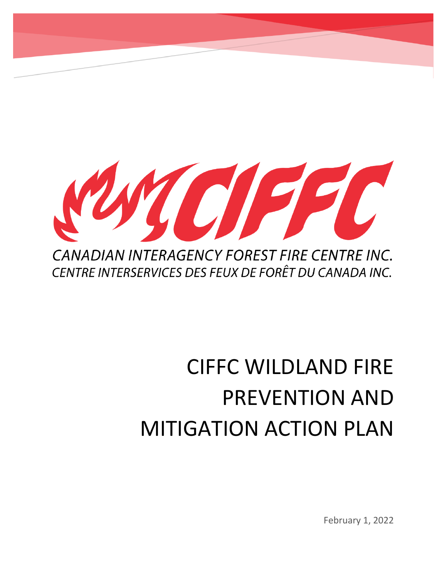

# CIFFC WILDLAND FIRE PREVENTION AND MITIGATION ACTION PLAN

February 1, 2022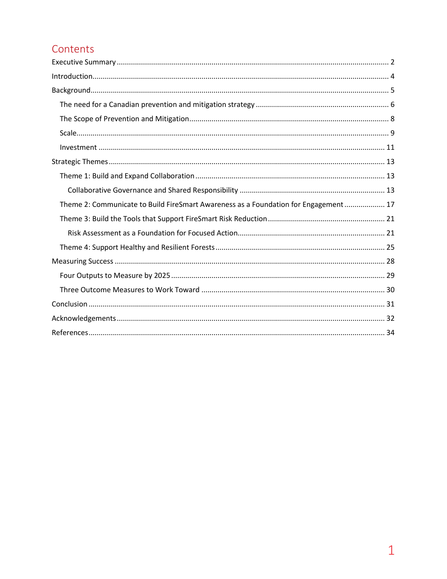# Contents

| Theme 2: Communicate to Build FireSmart Awareness as a Foundation for Engagement 17 |  |  |  |
|-------------------------------------------------------------------------------------|--|--|--|
|                                                                                     |  |  |  |
|                                                                                     |  |  |  |
|                                                                                     |  |  |  |
|                                                                                     |  |  |  |
|                                                                                     |  |  |  |
|                                                                                     |  |  |  |
|                                                                                     |  |  |  |
|                                                                                     |  |  |  |
|                                                                                     |  |  |  |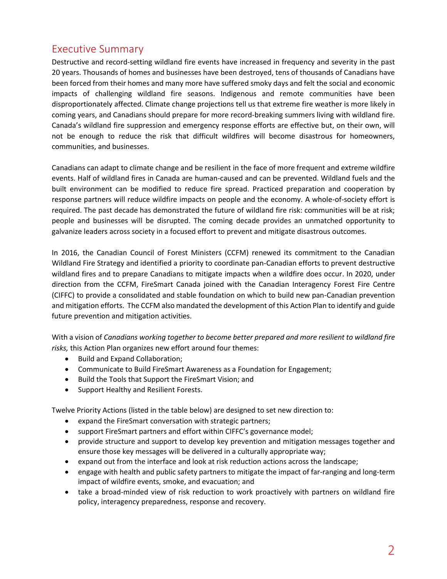# <span id="page-2-0"></span>Executive Summary

Destructive and record-setting wildland fire events have increased in frequency and severity in the past 20 years. Thousands of homes and businesses have been destroyed, tens of thousands of Canadians have been forced from their homes and many more have suffered smoky days and felt the social and economic impacts of challenging wildland fire seasons. Indigenous and remote communities have been disproportionately affected. Climate change projections tell us that extreme fire weather is more likely in coming years, and Canadians should prepare for more record-breaking summers living with wildland fire. Canada's wildland fire suppression and emergency response efforts are effective but, on their own, will not be enough to reduce the risk that difficult wildfires will become disastrous for homeowners, communities, and businesses.

Canadians can adapt to climate change and be resilient in the face of more frequent and extreme wildfire events. Half of wildland fires in Canada are human-caused and can be prevented. Wildland fuels and the built environment can be modified to reduce fire spread. Practiced preparation and cooperation by response partners will reduce wildfire impacts on people and the economy. A whole-of-society effort is required. The past decade has demonstrated the future of wildland fire risk: communities will be at risk; people and businesses will be disrupted. The coming decade provides an unmatched opportunity to galvanize leaders across society in a focused effort to prevent and mitigate disastrous outcomes.

In 2016, the Canadian Council of Forest Ministers (CCFM) renewed its commitment to the Canadian Wildland Fire Strategy and identified a priority to coordinate pan-Canadian efforts to prevent destructive wildland fires and to prepare Canadians to mitigate impacts when a wildfire does occur. In 2020, under direction from the CCFM, FireSmart Canada joined with the Canadian Interagency Forest Fire Centre (CIFFC) to provide a consolidated and stable foundation on which to build new pan-Canadian prevention and mitigation efforts. The CCFM also mandated the development of this Action Plan to identify and guide future prevention and mitigation activities.

With a vision of *Canadians working together to become better prepared and more resilient to wildland fire risks,* this Action Plan organizes new effort around four themes:

- Build and Expand Collaboration;
- Communicate to Build FireSmart Awareness as a Foundation for Engagement;
- Build the Tools that Support the FireSmart Vision; and
- Support Healthy and Resilient Forests.

Twelve Priority Actions (listed in the table below) are designed to set new direction to:

- expand the FireSmart conversation with strategic partners;
- support FireSmart partners and effort within CIFFC's governance model;
- provide structure and support to develop key prevention and mitigation messages together and ensure those key messages will be delivered in a culturally appropriate way;
- expand out from the interface and look at risk reduction actions across the landscape;
- engage with health and public safety partners to mitigate the impact of far-ranging and long-term impact of wildfire events, smoke, and evacuation; and
- take a broad-minded view of risk reduction to work proactively with partners on wildland fire policy, interagency preparedness, response and recovery.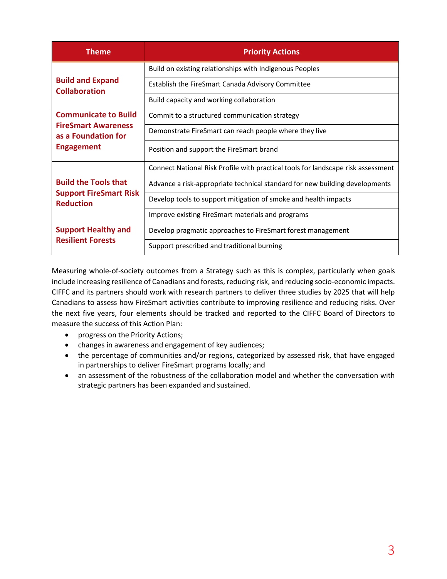| <b>Theme</b>                                      | <b>Priority Actions</b>                                                          |
|---------------------------------------------------|----------------------------------------------------------------------------------|
|                                                   | Build on existing relationships with Indigenous Peoples                          |
| <b>Build and Expand</b><br><b>Collaboration</b>   | Establish the FireSmart Canada Advisory Committee                                |
|                                                   | Build capacity and working collaboration                                         |
| <b>Communicate to Build</b>                       | Commit to a structured communication strategy                                    |
| <b>FireSmart Awareness</b><br>as a Foundation for | Demonstrate FireSmart can reach people where they live                           |
| <b>Engagement</b>                                 | Position and support the FireSmart brand                                         |
|                                                   | Connect National Risk Profile with practical tools for landscape risk assessment |
| <b>Build the Tools that</b>                       | Advance a risk-appropriate technical standard for new building developments      |
| <b>Support FireSmart Risk</b><br><b>Reduction</b> | Develop tools to support mitigation of smoke and health impacts                  |
|                                                   | Improve existing FireSmart materials and programs                                |
| <b>Support Healthy and</b>                        | Develop pragmatic approaches to FireSmart forest management                      |
| <b>Resilient Forests</b>                          | Support prescribed and traditional burning                                       |

Measuring whole-of-society outcomes from a Strategy such as this is complex, particularly when goals include increasing resilience of Canadians and forests, reducing risk, and reducing socio-economic impacts. CIFFC and its partners should work with research partners to deliver three studies by 2025 that will help Canadians to assess how FireSmart activities contribute to improving resilience and reducing risks. Over the next five years, four elements should be tracked and reported to the CIFFC Board of Directors to measure the success of this Action Plan:

- progress on the Priority Actions;
- changes in awareness and engagement of key audiences;
- the percentage of communities and/or regions, categorized by assessed risk, that have engaged in partnerships to deliver FireSmart programs locally; and
- an assessment of the robustness of the collaboration model and whether the conversation with strategic partners has been expanded and sustained.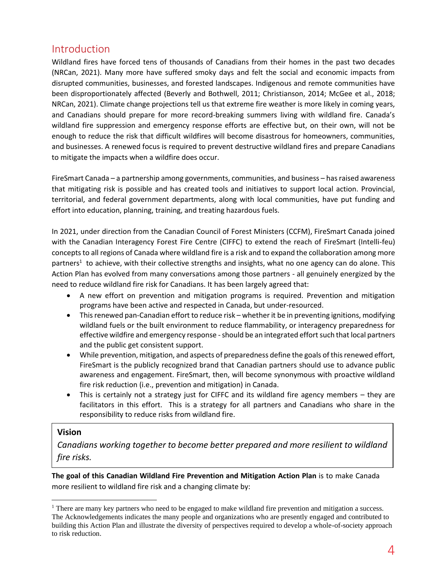# <span id="page-4-0"></span>Introduction

Wildland fires have forced tens of thousands of Canadians from their homes in the past two decades (NRCan, 2021). Many more have suffered smoky days and felt the social and economic impacts from disrupted communities, businesses, and forested landscapes. Indigenous and remote communities have been disproportionately affected (Beverly and Bothwell, 2011; Christianson, 2014; McGee et al., 2018; NRCan, 2021). Climate change projections tell us that extreme fire weather is more likely in coming years, and Canadians should prepare for more record-breaking summers living with wildland fire. Canada's wildland fire suppression and emergency response efforts are effective but, on their own, will not be enough to reduce the risk that difficult wildfires will become disastrous for homeowners, communities, and businesses. A renewed focus is required to prevent destructive wildland fires and prepare Canadians to mitigate the impacts when a wildfire does occur.

FireSmart Canada – a partnership among governments, communities, and business – has raised awareness that mitigating risk is possible and has created tools and initiatives to support local action. Provincial, territorial, and federal government departments, along with local communities, have put funding and effort into education, planning, training, and treating hazardous fuels.

In 2021, under direction from the Canadian Council of Forest Ministers (CCFM), FireSmart Canada joined with the Canadian Interagency Forest Fire Centre (CIFFC) to extend the reach of FireSmart (Intelli-feu) concepts to all regions of Canada where wildland fire is a risk and to expand the collaboration among more partners<sup>1</sup> to achieve, with their collective strengths and insights, what no one agency can do alone. This Action Plan has evolved from many conversations among those partners - all genuinely energized by the need to reduce wildland fire risk for Canadians. It has been largely agreed that:

- A new effort on prevention and mitigation programs is required. Prevention and mitigation programs have been active and respected in Canada, but under-resourced.
- This renewed pan-Canadian effort to reduce risk whether it be in preventing ignitions, modifying wildland fuels or the built environment to reduce flammability, or interagency preparedness for effective wildfire and emergency response -should be an integrated effort such that local partners and the public get consistent support.
- While prevention, mitigation, and aspects of preparedness define the goals of this renewed effort, FireSmart is the publicly recognized brand that Canadian partners should use to advance public awareness and engagement. FireSmart, then, will become synonymous with proactive wildland fire risk reduction (i.e., prevention and mitigation) in Canada.
- This is certainly not a strategy just for CIFFC and its wildland fire agency members they are facilitators in this effort. This is a strategy for all partners and Canadians who share in the responsibility to reduce risks from wildland fire.

## **Vision**

*Canadians working together to become better prepared and more resilient to wildland fire risks.*

**The goal of this Canadian Wildland Fire Prevention and Mitigation Action Plan** is to make Canada more resilient to wildland fire risk and a changing climate by:

<sup>&</sup>lt;sup>1</sup> There are many key partners who need to be engaged to make wildland fire prevention and mitigation a success. The Acknowledgements indicates the many people and organizations who are presently engaged and contributed to building this Action Plan and illustrate the diversity of perspectives required to develop a whole-of-society approach to risk reduction.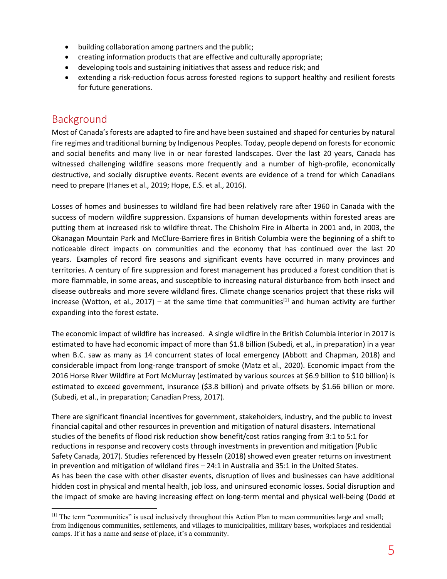- building collaboration among partners and the public;
- creating information products that are effective and culturally appropriate;
- developing tools and sustaining initiatives that assess and reduce risk; and
- extending a risk-reduction focus across forested regions to support healthy and resilient forests for future generations.

# <span id="page-5-0"></span>Background

Most of Canada's forests are adapted to fire and have been sustained and shaped for centuries by natural fire regimes and traditional burning by Indigenous Peoples. Today, people depend on forests for economic and social benefits and many live in or near forested landscapes. Over the last 20 years, Canada has witnessed challenging wildfire seasons more frequently and a number of high-profile, economically destructive, and socially disruptive events. Recent events are evidence of a trend for which Canadians need to prepare (Hanes et al., 2019; Hope, E.S. et al., 2016).

Losses of homes and businesses to wildland fire had been relatively rare after 1960 in Canada with the success of modern wildfire suppression. Expansions of human developments within forested areas are putting them at increased risk to wildfire threat. The Chisholm Fire in Alberta in 2001 and, in 2003, the Okanagan Mountain Park and McClure-Barriere fires in British Columbia were the beginning of a shift to noticeable direct impacts on communities and the economy that has continued over the last 20 years. Examples of record fire seasons and significant events have occurred in many provinces and territories. A century of fire suppression and forest management has produced a forest condition that is more flammable, in some areas, and susceptible to increasing natural disturbance from both insect and disease outbreaks and more severe wildland fires. Climate change scenarios project that these risks will increase (Wotton, et al., 2017) – at the same time that communities<sup>[1]</sup> and human activity are further expanding into the forest estate.

The economic impact of wildfire has increased. A single wildfire in the British Columbia interior in 2017 is estimated to have had economic impact of more than \$1.8 billion (Subedi, et al., in preparation) in a year when B.C. saw as many as 14 concurrent states of local emergency (Abbott and Chapman, 2018) and considerable impact from long-range transport of smoke (Matz et al., 2020). Economic impact from the 2016 Horse River Wildfire at Fort McMurray (estimated by various sources at \$6.9 billion to \$10 billion) is estimated to exceed government, insurance (\$3.8 billion) and private offsets by \$1.66 billion or more. (Subedi, et al., in preparation; Canadian Press, 2017).

There are significant financial incentives for government, stakeholders, industry, and the public to invest financial capital and other resources in prevention and mitigation of natural disasters. International studies of the benefits of flood risk reduction show benefit/cost ratios ranging from 3:1 to 5:1 for reductions in response and recovery costs through investments in prevention and mitigation (Public Safety Canada, 2017). Studies referenced by Hesseln (2018) showed even greater returns on investment in prevention and mitigation of wildland fires – 24:1 in Australia and 35:1 in the United States. As has been the case with other disaster events, disruption of lives and businesses can have additional hidden cost in physical and mental health, job loss, and uninsured economic losses. Social disruption and the impact of smoke are having increasing effect on long-term mental and physical well-being (Dodd et

 $<sup>[1]</sup>$  The term "communities" is used inclusively throughout this Action Plan to mean communities large and small;</sup> from Indigenous communities, settlements, and villages to municipalities, military bases, workplaces and residential camps. If it has a name and sense of place, it's a community.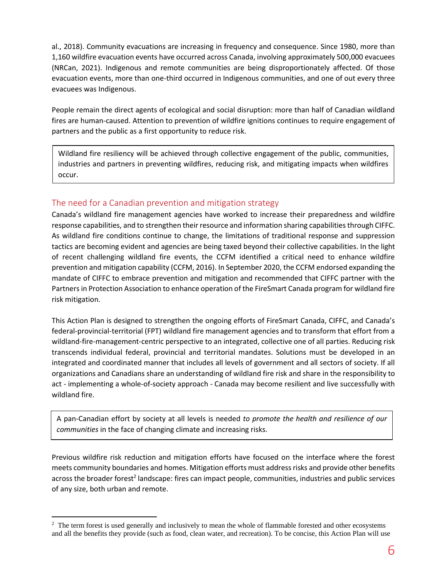al., 2018). Community evacuations are increasing in frequency and consequence. Since 1980, more than 1,160 wildfire evacuation events have occurred across Canada, involving approximately 500,000 evacuees (NRCan, 2021). Indigenous and remote communities are being disproportionately affected. Of those evacuation events, more than one-third occurred in Indigenous communities, and one of out every three evacuees was Indigenous.

People remain the direct agents of ecological and social disruption: more than half of Canadian wildland fires are human-caused. Attention to prevention of wildfire ignitions continues to require engagement of partners and the public as a first opportunity to reduce risk.

Wildland fire resiliency will be achieved through collective engagement of the public, communities, industries and partners in preventing wildfires, reducing risk, and mitigating impacts when wildfires occur.

## <span id="page-6-0"></span>The need for a Canadian prevention and mitigation strategy

Canada's wildland fire management agencies have worked to increase their preparedness and wildfire response capabilities, and to strengthen their resource and information sharing capabilities through CIFFC. As wildland fire conditions continue to change, the limitations of traditional response and suppression tactics are becoming evident and agencies are being taxed beyond their collective capabilities. In the light of recent challenging wildland fire events, the CCFM identified a critical need to enhance wildfire prevention and mitigation capability (CCFM, 2016). In September 2020, the CCFM endorsed expanding the mandate of CIFFC to embrace prevention and mitigation and recommended that CIFFC partner with the Partners in Protection Association to enhance operation of the FireSmart Canada program for wildland fire risk mitigation.

This Action Plan is designed to strengthen the ongoing efforts of FireSmart Canada, CIFFC, and Canada's federal-provincial-territorial (FPT) wildland fire management agencies and to transform that effort from a wildland-fire-management-centric perspective to an integrated, collective one of all parties. Reducing risk transcends individual federal, provincial and territorial mandates. Solutions must be developed in an integrated and coordinated manner that includes all levels of government and all sectors of society. If all organizations and Canadians share an understanding of wildland fire risk and share in the responsibility to act - implementing a whole-of-society approach - Canada may become resilient and live successfully with wildland fire.

A pan-Canadian effort by society at all levels is needed *to promote the health and resilience of our communities* in the face of changing climate and increasing risks.

Previous wildfire risk reduction and mitigation efforts have focused on the interface where the forest meets community boundaries and homes. Mitigation efforts must address risks and provide other benefits across the broader forest<sup>2</sup> landscape: fires can impact people, communities, industries and public services of any size, both urban and remote.

<sup>&</sup>lt;sup>2</sup> The term forest is used generally and inclusively to mean the whole of flammable forested and other ecosystems and all the benefits they provide (such as food, clean water, and recreation). To be concise, this Action Plan will use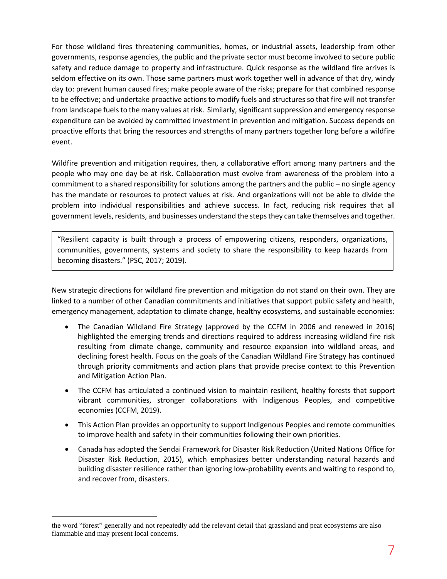For those wildland fires threatening communities, homes, or industrial assets, leadership from other governments, response agencies, the public and the private sector must become involved to secure public safety and reduce damage to property and infrastructure. Quick response as the wildland fire arrives is seldom effective on its own. Those same partners must work together well in advance of that dry, windy day to: prevent human caused fires; make people aware of the risks; prepare for that combined response to be effective; and undertake proactive actions to modify fuels and structures so that fire will not transfer from landscape fuels to the many values at risk. Similarly, significant suppression and emergency response expenditure can be avoided by committed investment in prevention and mitigation. Success depends on proactive efforts that bring the resources and strengths of many partners together long before a wildfire event.

Wildfire prevention and mitigation requires, then, a collaborative effort among many partners and the people who may one day be at risk. Collaboration must evolve from awareness of the problem into a commitment to a shared responsibility for solutions among the partners and the public – no single agency has the mandate or resources to protect values at risk. And organizations will not be able to divide the problem into individual responsibilities and achieve success. In fact, reducing risk requires that all government levels, residents, and businesses understand the steps they can take themselves and together.

"Resilient capacity is built through a process of empowering citizens, responders, organizations, communities, governments, systems and society to share the responsibility to keep hazards from becoming disasters." (PSC, 2017; 2019).

New strategic directions for wildland fire prevention and mitigation do not stand on their own. They are linked to a number of other Canadian commitments and initiatives that support public safety and health, emergency management, adaptation to climate change, healthy ecosystems, and sustainable economies:

- The Canadian Wildland Fire Strategy (approved by the CCFM in 2006 and renewed in 2016) highlighted the emerging trends and directions required to address increasing wildland fire risk resulting from climate change, community and resource expansion into wildland areas, and declining forest health. Focus on the goals of the Canadian Wildland Fire Strategy has continued through priority commitments and action plans that provide precise context to this Prevention and Mitigation Action Plan.
- The CCFM has articulated a continued vision to maintain resilient, healthy forests that support vibrant communities, stronger collaborations with Indigenous Peoples, and competitive economies (CCFM, 2019).
- This Action Plan provides an opportunity to support Indigenous Peoples and remote communities to improve health and safety in their communities following their own priorities.
- Canada has adopted the Sendai Framework for Disaster Risk Reduction (United Nations Office for Disaster Risk Reduction, 2015), which emphasizes better understanding natural hazards and building disaster resilience rather than ignoring low-probability events and waiting to respond to, and recover from, disasters.

the word "forest" generally and not repeatedly add the relevant detail that grassland and peat ecosystems are also flammable and may present local concerns.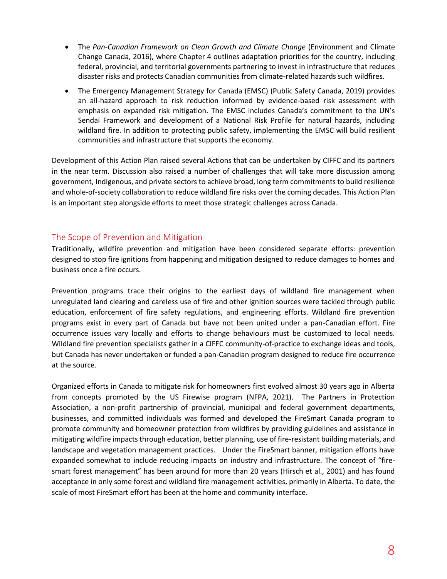- The Pan-Canadian Framework on Clean Growth and Climate Change (Environment and Climate Change Canada, 2016), where Chapter 4 outlines adaptation priorities for the country, including federal, provincial, and territorial governments partnering to invest in infrastructure that reduces disaster risks and protects Canadian communities from climate-related hazards such wildfires.
- The Emergency Management Strategy for Canada (EMSC) (Public Safety Canada, 2019) provides an all-hazard approach to risk reduction informed by evidence-based risk assessment with emphasis on expanded risk mitigation. The EMSC includes Canada's commitment to the UN's Sendai Framework and development of a National Risk Profile for natural hazards, including wildland fire. In addition to protecting public safety, implementing the EMSC will build resilient communities and infrastructure that supports the economy.

Development of this Action Plan raised several Actions that can be undertaken by CIFFC and its partners in the near term. Discussion also raised a number of challenges that will take more discussion among government, Indigenous, and private sectors to achieve broad, long term commitments to build resilience and whole-of-society collaboration to reduce wildland fire risks over the coming decades. This Action Plan is an important step alongside efforts to meet those strategic challenges across Canada.

## <span id="page-8-0"></span>The Scope of Prevention and Mitigation

Traditionally, wildfire prevention and mitigation have been considered separate efforts: prevention designed to stop fire ignitions from happening and mitigation designed to reduce damages to homes and business once a fire occurs.

Prevention programs trace their origins to the earliest days of wildland fire management when unregulated land clearing and careless use of fire and other ignition sources were tackled through public education, enforcement of fire safety regulations, and engineering efforts. Wildland fire prevention programs exist in every part of Canada but have not been united under a pan-Canadian effort. Fire occurrence issues vary locally and efforts to change behaviours must be customized to local needs. Wildland fire prevention specialists gather in a CIFFC community-of-practice to exchange ideas and tools, but Canada has never undertaken or funded a pan-Canadian program designed to reduce fire occurrence at the source.

Organized efforts in Canada to mitigate risk for homeowners first evolved almost 30 years ago in Alberta from concepts promoted by the US Firewise program (NFPA, 2021). The Partners in Protection Association, a non-profit partnership of provincial, municipal and federal government departments, businesses, and committed individuals was formed and developed the FireSmart Canada program to promote community and homeowner protection from wildfires by providing guidelines and assistance in mitigating wildfire impacts through education, better planning, use of fire-resistant building materials, and landscape and vegetation management practices. Under the FireSmart banner, mitigation efforts have expanded somewhat to include reducing impacts on industry and infrastructure. The concept of "firesmart forest management" has been around for more than 20 years (Hirsch et al., 2001) and has found acceptance in only some forest and wildland fire management activities, primarily in Alberta. To date, the scale of most FireSmart effort has been at the home and community interface.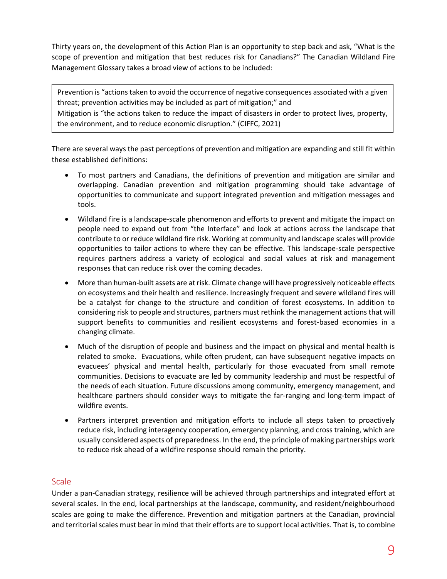Thirty years on, the development of this Action Plan is an opportunity to step back and ask, "What is the scope of prevention and mitigation that best reduces risk for Canadians?" The Canadian Wildland Fire Management Glossary takes a broad view of actions to be included:

Prevention is "actions taken to avoid the occurrence of negative consequences associated with a given threat; prevention activities may be included as part of mitigation;" and Mitigation is "the actions taken to reduce the impact of disasters in order to protect lives, property, the environment, and to reduce economic disruption." (CIFFC, 2021)

There are several ways the past perceptions of prevention and mitigation are expanding and still fit within these established definitions:

- To most partners and Canadians, the definitions of prevention and mitigation are similar and overlapping. Canadian prevention and mitigation programming should take advantage of opportunities to communicate and support integrated prevention and mitigation messages and tools.
- Wildland fire is a landscape-scale phenomenon and efforts to prevent and mitigate the impact on people need to expand out from "the Interface" and look at actions across the landscape that contribute to or reduce wildland fire risk. Working at community and landscape scales will provide opportunities to tailor actions to where they can be effective. This landscape-scale perspective requires partners address a variety of ecological and social values at risk and management responses that can reduce risk over the coming decades.
- More than human-built assets are at risk. Climate change will have progressively noticeable effects on ecosystems and their health and resilience. Increasingly frequent and severe wildland fires will be a catalyst for change to the structure and condition of forest ecosystems. In addition to considering risk to people and structures, partners must rethink the management actions that will support benefits to communities and resilient ecosystems and forest-based economies in a changing climate.
- Much of the disruption of people and business and the impact on physical and mental health is related to smoke. Evacuations, while often prudent, can have subsequent negative impacts on evacuees' physical and mental health, particularly for those evacuated from small remote communities. Decisions to evacuate are led by community leadership and must be respectful of the needs of each situation. Future discussions among community, emergency management, and healthcare partners should consider ways to mitigate the far-ranging and long-term impact of wildfire events.
- Partners interpret prevention and mitigation efforts to include all steps taken to proactively reduce risk, including interagency cooperation, emergency planning, and cross training, which are usually considered aspects of preparedness. In the end, the principle of making partnerships work to reduce risk ahead of a wildfire response should remain the priority.

## <span id="page-9-0"></span>**Scale**

Under a pan-Canadian strategy, resilience will be achieved through partnerships and integrated effort at several scales. In the end, local partnerships at the landscape, community, and resident/neighbourhood scales are going to make the difference. Prevention and mitigation partners at the Canadian, provincial and territorial scales must bear in mind that their efforts are to support local activities. That is, to combine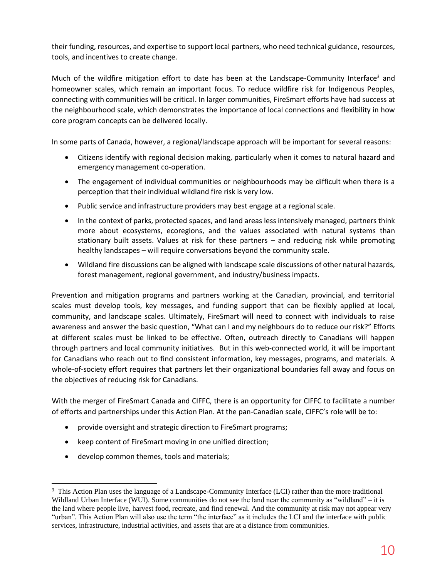their funding, resources, and expertise to support local partners, who need technical guidance, resources, tools, and incentives to create change.

Much of the wildfire mitigation effort to date has been at the Landscape-Community Interface<sup>3</sup> and homeowner scales, which remain an important focus. To reduce wildfire risk for Indigenous Peoples, connecting with communities will be critical. In larger communities, FireSmart efforts have had success at the neighbourhood scale, which demonstrates the importance of local connections and flexibility in how core program concepts can be delivered locally.

In some parts of Canada, however, a regional/landscape approach will be important for several reasons:

- Citizens identify with regional decision making, particularly when it comes to natural hazard and emergency management co-operation.
- The engagement of individual communities or neighbourhoods may be difficult when there is a perception that their individual wildland fire risk is very low.
- Public service and infrastructure providers may best engage at a regional scale.
- In the context of parks, protected spaces, and land areas less intensively managed, partners think more about ecosystems, ecoregions, and the values associated with natural systems than stationary built assets. Values at risk for these partners – and reducing risk while promoting healthy landscapes – will require conversations beyond the community scale.
- Wildland fire discussions can be aligned with landscape scale discussions of other natural hazards, forest management, regional government, and industry/business impacts.

Prevention and mitigation programs and partners working at the Canadian, provincial, and territorial scales must develop tools, key messages, and funding support that can be flexibly applied at local, community, and landscape scales. Ultimately, FireSmart will need to connect with individuals to raise awareness and answer the basic question, "What can I and my neighbours do to reduce our risk?" Efforts at different scales must be linked to be effective. Often, outreach directly to Canadians will happen through partners and local community initiatives. But in this web-connected world, it will be important for Canadians who reach out to find consistent information, key messages, programs, and materials. A whole-of-society effort requires that partners let their organizational boundaries fall away and focus on the objectives of reducing risk for Canadians.

With the merger of FireSmart Canada and CIFFC, there is an opportunity for CIFFC to facilitate a number of efforts and partnerships under this Action Plan. At the pan-Canadian scale, CIFFC's role will be to:

- provide oversight and strategic direction to FireSmart programs;
- keep content of FireSmart moving in one unified direction;
- develop common themes, tools and materials;

<sup>&</sup>lt;sup>3</sup> This Action Plan uses the language of a Landscape-Community Interface (LCI) rather than the more traditional Wildland Urban Interface (WUI). Some communities do not see the land near the community as "wildland" – it is the land where people live, harvest food, recreate, and find renewal. And the community at risk may not appear very "urban". This Action Plan will also use the term "the interface" as it includes the LCI and the interface with public services, infrastructure, industrial activities, and assets that are at a distance from communities.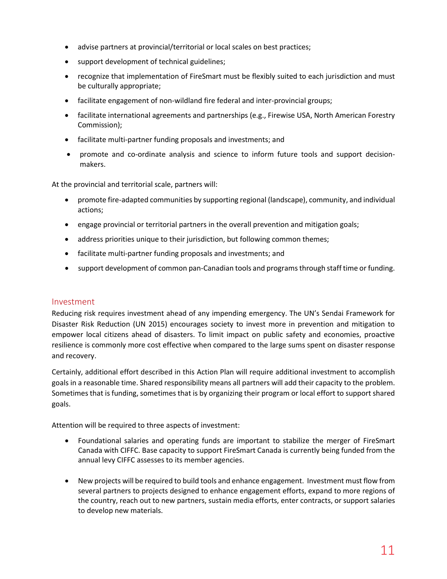- advise partners at provincial/territorial or local scales on best practices;
- support development of technical guidelines;
- recognize that implementation of FireSmart must be flexibly suited to each jurisdiction and must be culturally appropriate;
- facilitate engagement of non-wildland fire federal and inter-provincial groups;
- facilitate international agreements and partnerships (e.g., Firewise USA, North American Forestry Commission);
- facilitate multi-partner funding proposals and investments; and
- promote and co-ordinate analysis and science to inform future tools and support decisionmakers.

At the provincial and territorial scale, partners will:

- promote fire-adapted communities by supporting regional (landscape), community, and individual actions;
- engage provincial or territorial partners in the overall prevention and mitigation goals;
- address priorities unique to their jurisdiction, but following common themes;
- facilitate multi-partner funding proposals and investments; and
- support development of common pan-Canadian tools and programs through staff time or funding.

#### <span id="page-11-0"></span>Investment

Reducing risk requires investment ahead of any impending emergency. The UN's Sendai Framework for Disaster Risk Reduction (UN 2015) encourages society to invest more in prevention and mitigation to empower local citizens ahead of disasters. To limit impact on public safety and economies, proactive resilience is commonly more cost effective when compared to the large sums spent on disaster response and recovery.

Certainly, additional effort described in this Action Plan will require additional investment to accomplish goals in a reasonable time. Shared responsibility means all partners will add their capacity to the problem. Sometimes that is funding, sometimes that is by organizing their program or local effort to support shared goals.

Attention will be required to three aspects of investment:

- Foundational salaries and operating funds are important to stabilize the merger of FireSmart Canada with CIFFC. Base capacity to support FireSmart Canada is currently being funded from the annual levy CIFFC assesses to its member agencies.
- New projects will be required to build tools and enhance engagement. Investment must flow from several partners to projects designed to enhance engagement efforts, expand to more regions of the country, reach out to new partners, sustain media efforts, enter contracts, or support salaries to develop new materials.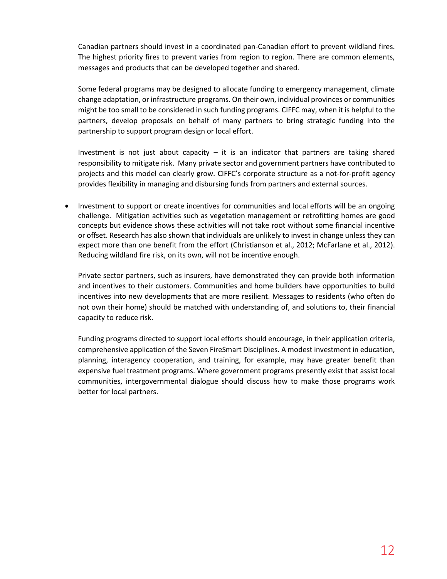Canadian partners should invest in a coordinated pan-Canadian effort to prevent wildland fires. The highest priority fires to prevent varies from region to region. There are common elements, messages and products that can be developed together and shared.

Some federal programs may be designed to allocate funding to emergency management, climate change adaptation, or infrastructure programs. On their own, individual provinces or communities might be too small to be considered in such funding programs. CIFFC may, when it is helpful to the partners, develop proposals on behalf of many partners to bring strategic funding into the partnership to support program design or local effort.

Investment is not just about capacity  $-$  it is an indicator that partners are taking shared responsibility to mitigate risk. Many private sector and government partners have contributed to projects and this model can clearly grow. CIFFC's corporate structure as a not-for-profit agency provides flexibility in managing and disbursing funds from partners and external sources.

• Investment to support or create incentives for communities and local efforts will be an ongoing challenge. Mitigation activities such as vegetation management or retrofitting homes are good concepts but evidence shows these activities will not take root without some financial incentive or offset. Research has also shown that individuals are unlikely to invest in change unless they can expect more than one benefit from the effort (Christianson et al., 2012; McFarlane et al., 2012). Reducing wildland fire risk, on its own, will not be incentive enough.

Private sector partners, such as insurers, have demonstrated they can provide both information and incentives to their customers. Communities and home builders have opportunities to build incentives into new developments that are more resilient. Messages to residents (who often do not own their home) should be matched with understanding of, and solutions to, their financial capacity to reduce risk.

Funding programs directed to support local efforts should encourage, in their application criteria, comprehensive application of the Seven FireSmart Disciplines. A modest investment in education, planning, interagency cooperation, and training, for example, may have greater benefit than expensive fuel treatment programs. Where government programs presently exist that assist local communities, intergovernmental dialogue should discuss how to make those programs work better for local partners.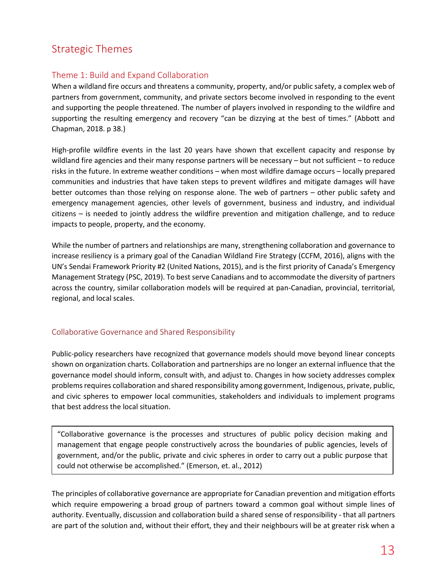# <span id="page-13-0"></span>Strategic Themes

# <span id="page-13-1"></span>Theme 1: Build and Expand Collaboration

When a wildland fire occurs and threatens a community, property, and/or public safety, a complex web of partners from government, community, and private sectors become involved in responding to the event and supporting the people threatened. The number of players involved in responding to the wildfire and supporting the resulting emergency and recovery "can be dizzying at the best of times." (Abbott and Chapman, 2018. p 38.)

High-profile wildfire events in the last 20 years have shown that excellent capacity and response by wildland fire agencies and their many response partners will be necessary – but not sufficient – to reduce risks in the future. In extreme weather conditions – when most wildfire damage occurs – locally prepared communities and industries that have taken steps to prevent wildfires and mitigate damages will have better outcomes than those relying on response alone. The web of partners – other public safety and emergency management agencies, other levels of government, business and industry, and individual citizens – is needed to jointly address the wildfire prevention and mitigation challenge, and to reduce impacts to people, property, and the economy.

While the number of partners and relationships are many, strengthening collaboration and governance to increase resiliency is a primary goal of the Canadian Wildland Fire Strategy (CCFM, 2016), aligns with the UN's Sendai Framework Priority #2 (United Nations, 2015), and is the first priority of Canada's Emergency Management Strategy (PSC, 2019). To best serve Canadians and to accommodate the diversity of partners across the country, similar collaboration models will be required at pan-Canadian, provincial, territorial, regional, and local scales.

## <span id="page-13-2"></span>Collaborative Governance and Shared Responsibility

Public-policy researchers have recognized that governance models should move beyond linear concepts shown on organization charts. Collaboration and partnerships are no longer an external influence that the governance model should inform, consult with, and adjust to. Changes in how society addresses complex problems requires collaboration and shared responsibility among government, Indigenous, private, public, and civic spheres to empower local communities, stakeholders and individuals to implement programs that best address the local situation.

"Collaborative governance is the processes and structures of public policy decision making and management that engage people constructively across the boundaries of public agencies, levels of government, and/or the public, private and civic spheres in order to carry out a public purpose that could not otherwise be accomplished." (Emerson, et. al., 2012)

The principles of collaborative governance are appropriate for Canadian prevention and mitigation efforts which require empowering a broad group of partners toward a common goal without simple lines of authority. Eventually, discussion and collaboration build a shared sense of responsibility - that all partners are part of the solution and, without their effort, they and their neighbours will be at greater risk when a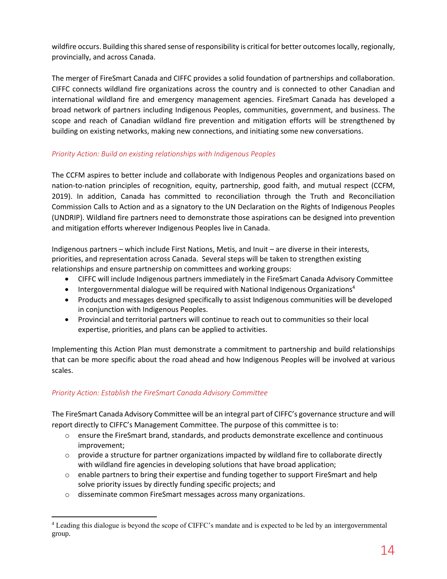wildfire occurs. Building this shared sense of responsibility is critical for better outcomes locally, regionally, provincially, and across Canada.

The merger of FireSmart Canada and CIFFC provides a solid foundation of partnerships and collaboration. CIFFC connects wildland fire organizations across the country and is connected to other Canadian and international wildland fire and emergency management agencies. FireSmart Canada has developed a broad network of partners including Indigenous Peoples, communities, government, and business. The scope and reach of Canadian wildland fire prevention and mitigation efforts will be strengthened by building on existing networks, making new connections, and initiating some new conversations.

### *Priority Action: Build on existing relationships with Indigenous Peoples*

The CCFM aspires to better include and collaborate with Indigenous Peoples and organizations based on nation-to-nation principles of recognition, equity, partnership, good faith, and mutual respect (CCFM, 2019). In addition, Canada has committed to reconciliation through the Truth and Reconciliation Commission Calls to Action and as a signatory to the UN Declaration on the Rights of Indigenous Peoples (UNDRIP). Wildland fire partners need to demonstrate those aspirations can be designed into prevention and mitigation efforts wherever Indigenous Peoples live in Canada.

Indigenous partners – which include First Nations, Metis, and Inuit – are diverse in their interests, priorities, and representation across Canada. Several steps will be taken to strengthen existing relationships and ensure partnership on committees and working groups:

- CIFFC will include Indigenous partners immediately in the FireSmart Canada Advisory Committee
- Intergovernmental dialogue will be required with National Indigenous Organizations<sup>4</sup>
- Products and messages designed specifically to assist Indigenous communities will be developed in conjunction with Indigenous Peoples.
- Provincial and territorial partners will continue to reach out to communities so their local expertise, priorities, and plans can be applied to activities.

Implementing this Action Plan must demonstrate a commitment to partnership and build relationships that can be more specific about the road ahead and how Indigenous Peoples will be involved at various scales.

## *Priority Action: Establish the FireSmart Canada Advisory Committee*

The FireSmart Canada Advisory Committee will be an integral part of CIFFC's governance structure and will report directly to CIFFC's Management Committee. The purpose of this committee is to:

- o ensure the FireSmart brand, standards, and products demonstrate excellence and continuous improvement;
- $\circ$  provide a structure for partner organizations impacted by wildland fire to collaborate directly with wildland fire agencies in developing solutions that have broad application;
- o enable partners to bring their expertise and funding together to support FireSmart and help solve priority issues by directly funding specific projects; and
- o disseminate common FireSmart messages across many organizations.

<sup>4</sup> Leading this dialogue is beyond the scope of CIFFC's mandate and is expected to be led by an intergovernmental group.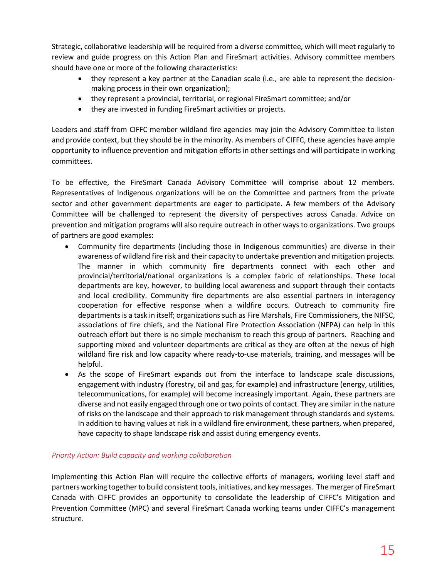Strategic, collaborative leadership will be required from a diverse committee, which will meet regularly to review and guide progress on this Action Plan and FireSmart activities. Advisory committee members should have one or more of the following characteristics:

- they represent a key partner at the Canadian scale (i.e., are able to represent the decisionmaking process in their own organization);
- they represent a provincial, territorial, or regional FireSmart committee; and/or
- they are invested in funding FireSmart activities or projects.

Leaders and staff from CIFFC member wildland fire agencies may join the Advisory Committee to listen and provide context, but they should be in the minority. As members of CIFFC, these agencies have ample opportunity to influence prevention and mitigation efforts in other settings and will participate in working committees.

To be effective, the FireSmart Canada Advisory Committee will comprise about 12 members. Representatives of Indigenous organizations will be on the Committee and partners from the private sector and other government departments are eager to participate. A few members of the Advisory Committee will be challenged to represent the diversity of perspectives across Canada. Advice on prevention and mitigation programs will also require outreach in other ways to organizations. Two groups of partners are good examples:

- Community fire departments (including those in Indigenous communities) are diverse in their awareness of wildland fire risk and their capacity to undertake prevention and mitigation projects. The manner in which community fire departments connect with each other and provincial/territorial/national organizations is a complex fabric of relationships. These local departments are key, however, to building local awareness and support through their contacts and local credibility. Community fire departments are also essential partners in interagency cooperation for effective response when a wildfire occurs. Outreach to community fire departments is a task in itself; organizations such as Fire Marshals, Fire Commissioners, the NIFSC, associations of fire chiefs, and the National Fire Protection Association (NFPA) can help in this outreach effort but there is no simple mechanism to reach this group of partners. Reaching and supporting mixed and volunteer departments are critical as they are often at the nexus of high wildland fire risk and low capacity where ready-to-use materials, training, and messages will be helpful.
- As the scope of FireSmart expands out from the interface to landscape scale discussions, engagement with industry (forestry, oil and gas, for example) and infrastructure (energy, utilities, telecommunications, for example) will become increasingly important. Again, these partners are diverse and not easily engaged through one or two points of contact. They are similar in the nature of risks on the landscape and their approach to risk management through standards and systems. In addition to having values at risk in a wildland fire environment, these partners, when prepared, have capacity to shape landscape risk and assist during emergency events.

#### *Priority Action: Build capacity and working collaboration*

Implementing this Action Plan will require the collective efforts of managers, working level staff and partners working together to build consistent tools, initiatives, and key messages. The merger of FireSmart Canada with CIFFC provides an opportunity to consolidate the leadership of CIFFC's Mitigation and Prevention Committee (MPC) and several FireSmart Canada working teams under CIFFC's management structure.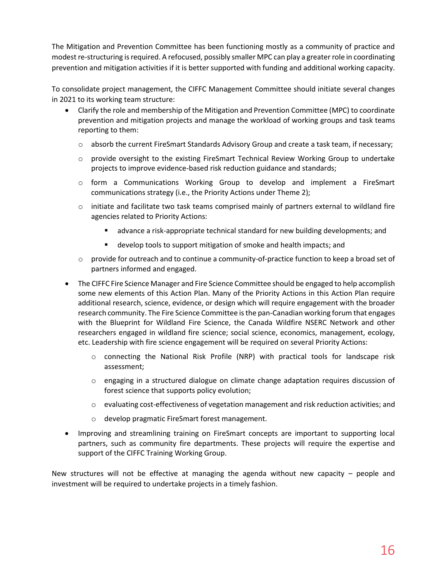The Mitigation and Prevention Committee has been functioning mostly as a community of practice and modest re-structuring isrequired. A refocused, possibly smaller MPC can play a greater role in coordinating prevention and mitigation activities if it is better supported with funding and additional working capacity.

To consolidate project management, the CIFFC Management Committee should initiate several changes in 2021 to its working team structure:

- Clarify the role and membership of the Mitigation and Prevention Committee (MPC) to coordinate prevention and mitigation projects and manage the workload of working groups and task teams reporting to them:
	- o absorb the current FireSmart Standards Advisory Group and create a task team, if necessary;
	- o provide oversight to the existing FireSmart Technical Review Working Group to undertake projects to improve evidence-based risk reduction guidance and standards;
	- o form a Communications Working Group to develop and implement a FireSmart communications strategy (i.e., the Priority Actions under Theme 2);
	- $\circ$  initiate and facilitate two task teams comprised mainly of partners external to wildland fire agencies related to Priority Actions:
		- advance a risk-appropriate technical standard for new building developments; and
		- develop tools to support mitigation of smoke and health impacts; and
	- $\circ$  provide for outreach and to continue a community-of-practice function to keep a broad set of partners informed and engaged.
- The CIFFC Fire Science Manager and Fire Science Committee should be engaged to help accomplish some new elements of this Action Plan. Many of the Priority Actions in this Action Plan require additional research, science, evidence, or design which will require engagement with the broader research community. The Fire Science Committee is the pan-Canadian working forum that engages with the [Blueprint for Wildland Fire Science,](https://www.nrcan.gc.ca/our-natural-resources/forests-forestry/wildland-fires-insects-disturban/blueprint-wildland-fire-science-canada-2019-2029/21614) the [Canada Wildfire N](https://www.canadawildfire.org/)SERC Network and other researchers engaged in wildland fire science; social science, economics, management, ecology, etc. Leadership with fire science engagement will be required on several Priority Actions:
	- $\circ$  connecting the National Risk Profile (NRP) with practical tools for landscape risk assessment;
	- o engaging in a structured dialogue on climate change adaptation requires discussion of forest science that supports policy evolution;
	- o evaluating cost-effectiveness of vegetation management and risk reduction activities; and
	- o develop pragmatic FireSmart forest management.
- Improving and streamlining training on FireSmart concepts are important to supporting local partners, such as community fire departments. These projects will require the expertise and support of the CIFFC Training Working Group.

New structures will not be effective at managing the agenda without new capacity – people and investment will be required to undertake projects in a timely fashion.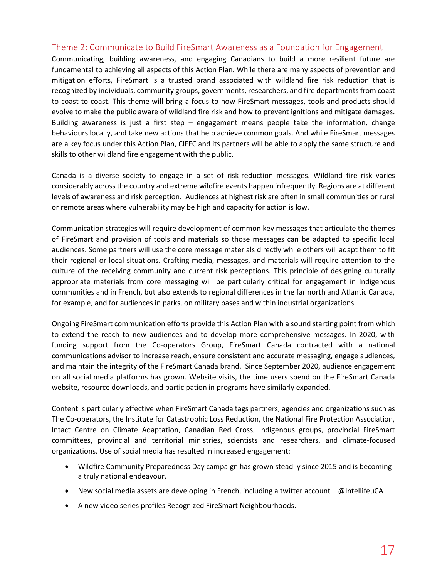#### <span id="page-17-0"></span>Theme 2: Communicate to Build FireSmart Awareness as a Foundation for Engagement

Communicating, building awareness, and engaging Canadians to build a more resilient future are fundamental to achieving all aspects of this Action Plan. While there are many aspects of prevention and mitigation efforts, FireSmart is a trusted brand associated with wildland fire risk reduction that is recognized by individuals, community groups, governments, researchers, and fire departments from coast to coast to coast. This theme will bring a focus to how FireSmart messages, tools and products should evolve to make the public aware of wildland fire risk and how to prevent ignitions and mitigate damages. Building awareness is just a first step  $-$  engagement means people take the information, change behaviours locally, and take new actions that help achieve common goals. And while FireSmart messages are a key focus under this Action Plan, CIFFC and its partners will be able to apply the same structure and skills to other wildland fire engagement with the public.

Canada is a diverse society to engage in a set of risk-reduction messages. Wildland fire risk varies considerably across the country and extreme wildfire events happen infrequently. Regions are at different levels of awareness and risk perception. Audiences at highest risk are often in small communities or rural or remote areas where vulnerability may be high and capacity for action is low.

Communication strategies will require development of common key messages that articulate the themes of FireSmart and provision of tools and materials so those messages can be adapted to specific local audiences. Some partners will use the core message materials directly while others will adapt them to fit their regional or local situations. Crafting media, messages, and materials will require attention to the culture of the receiving community and current risk perceptions. This principle of designing culturally appropriate materials from core messaging will be particularly critical for engagement in Indigenous communities and in French, but also extends to regional differences in the far north and Atlantic Canada, for example, and for audiences in parks, on military bases and within industrial organizations.

Ongoing FireSmart communication efforts provide this Action Plan with a sound starting point from which to extend the reach to new audiences and to develop more comprehensive messages. In 2020, with funding support from the Co-operators Group, FireSmart Canada contracted with a national communications advisor to increase reach, ensure consistent and accurate messaging, engage audiences, and maintain the integrity of the FireSmart Canada brand. Since September 2020, audience engagement on all social media platforms has grown. Website visits, the time users spend on the FireSmart Canada website, resource downloads, and participation in programs have similarly expanded.

Content is particularly effective when FireSmart Canada tags partners, agencies and organizations such as The Co-operators, the Institute for Catastrophic Loss Reduction, the National Fire Protection Association, Intact Centre on Climate Adaptation, Canadian Red Cross, Indigenous groups, provincial FireSmart committees, provincial and territorial ministries, scientists and researchers, and climate-focused organizations. Use of social media has resulted in increased engagement:

- Wildfire Community Preparedness Day campaign has grown steadily since 2015 and is becoming a truly national endeavour.
- New social media assets are developing in French, including a twitter account @IntellifeuCA
- A new video series profiles Recognized FireSmart Neighbourhoods.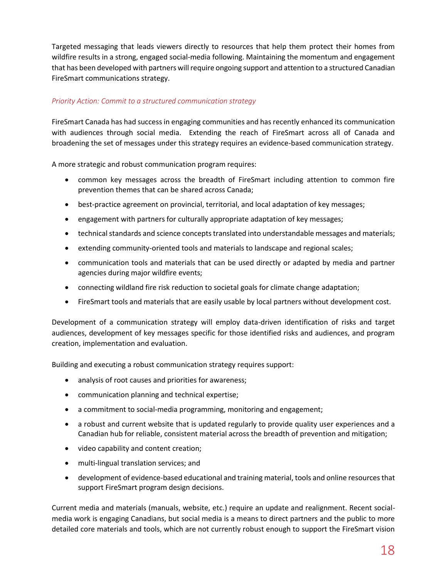Targeted messaging that leads viewers directly to resources that help them protect their homes from wildfire results in a strong, engaged social-media following. Maintaining the momentum and engagement that has been developed with partners will require ongoing support and attention to a structured Canadian FireSmart communications strategy.

#### *Priority Action: Commit to a structured communication strategy*

FireSmart Canada has had success in engaging communities and has recently enhanced its communication with audiences through social media. Extending the reach of FireSmart across all of Canada and broadening the set of messages under this strategy requires an evidence-based communication strategy.

A more strategic and robust communication program requires:

- common key messages across the breadth of FireSmart including attention to common fire prevention themes that can be shared across Canada;
- best-practice agreement on provincial, territorial, and local adaptation of key messages;
- engagement with partners for culturally appropriate adaptation of key messages;
- technical standards and science concepts translated into understandable messages and materials;
- extending community-oriented tools and materials to landscape and regional scales;
- communication tools and materials that can be used directly or adapted by media and partner agencies during major wildfire events;
- connecting wildland fire risk reduction to societal goals for climate change adaptation;
- FireSmart tools and materials that are easily usable by local partners without development cost.

Development of a communication strategy will employ data-driven identification of risks and target audiences, development of key messages specific for those identified risks and audiences, and program creation, implementation and evaluation.

Building and executing a robust communication strategy requires support:

- analysis of root causes and priorities for awareness;
- communication planning and technical expertise;
- a commitment to social-media programming, monitoring and engagement;
- a robust and current website that is updated regularly to provide quality user experiences and a Canadian hub for reliable, consistent material across the breadth of prevention and mitigation;
- video capability and content creation;
- multi-lingual translation services; and
- development of evidence-based educational and training material, tools and online resources that support FireSmart program design decisions.

Current media and materials (manuals, website, etc.) require an update and realignment. Recent socialmedia work is engaging Canadians, but social media is a means to direct partners and the public to more detailed core materials and tools, which are not currently robust enough to support the FireSmart vision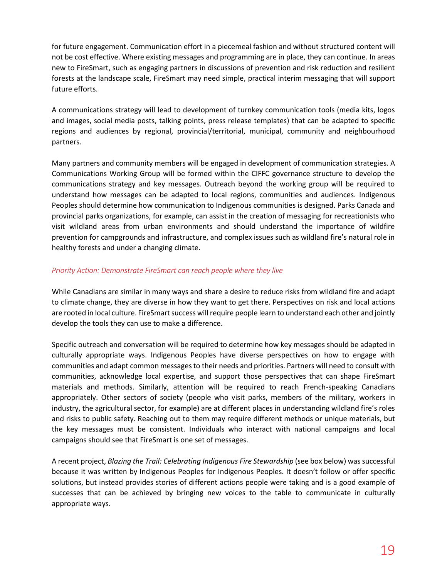for future engagement. Communication effort in a piecemeal fashion and without structured content will not be cost effective. Where existing messages and programming are in place, they can continue. In areas new to FireSmart, such as engaging partners in discussions of prevention and risk reduction and resilient forests at the landscape scale, FireSmart may need simple, practical interim messaging that will support future efforts.

A communications strategy will lead to development of turnkey communication tools (media kits, logos and images, social media posts, talking points, press release templates) that can be adapted to specific regions and audiences by regional, provincial/territorial, municipal, community and neighbourhood partners.

Many partners and community members will be engaged in development of communication strategies. A Communications Working Group will be formed within the CIFFC governance structure to develop the communications strategy and key messages. Outreach beyond the working group will be required to understand how messages can be adapted to local regions, communities and audiences. Indigenous Peoples should determine how communication to Indigenous communities is designed. Parks Canada and provincial parks organizations, for example, can assist in the creation of messaging for recreationists who visit wildland areas from urban environments and should understand the importance of wildfire prevention for campgrounds and infrastructure, and complex issues such as wildland fire's natural role in healthy forests and under a changing climate.

#### *Priority Action: Demonstrate FireSmart can reach people where they live*

While Canadians are similar in many ways and share a desire to reduce risks from wildland fire and adapt to climate change, they are diverse in how they want to get there. Perspectives on risk and local actions are rooted in local culture. FireSmart success will require people learn to understand each other and jointly develop the tools they can use to make a difference.

Specific outreach and conversation will be required to determine how key messages should be adapted in culturally appropriate ways. Indigenous Peoples have diverse perspectives on how to engage with communities and adapt common messages to their needs and priorities. Partners will need to consult with communities, acknowledge local expertise, and support those perspectives that can shape FireSmart materials and methods. Similarly, attention will be required to reach French-speaking Canadians appropriately. Other sectors of society (people who visit parks, members of the military, workers in industry, the agricultural sector, for example) are at different places in understanding wildland fire's roles and risks to public safety. Reaching out to them may require different methods or unique materials, but the key messages must be consistent. Individuals who interact with national campaigns and local campaigns should see that FireSmart is one set of messages.

A recent project, *Blazing the Trail: Celebrating Indigenous Fire Stewardship* (see box below) was successful because it was written by Indigenous Peoples for Indigenous Peoples. It doesn't follow or offer specific solutions, but instead provides stories of different actions people were taking and is a good example of successes that can be achieved by bringing new voices to the table to communicate in culturally appropriate ways.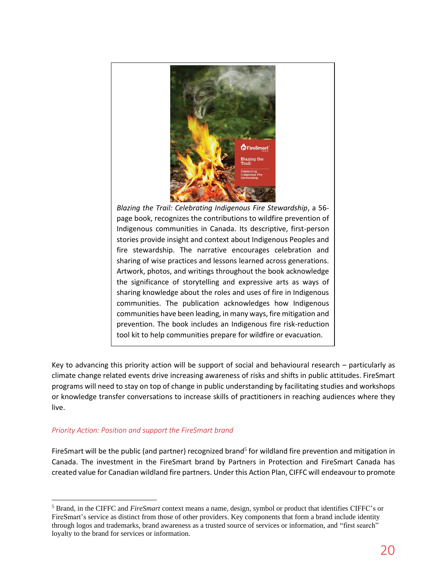

*Blazing the Trail: Celebrating Indigenous Fire Stewardship*, a 56 page book, recognizes the contributions to wildfire prevention of Indigenous communities in Canada. Its descriptive, first-person stories provide insight and context about Indigenous Peoples and fire stewardship. The narrative encourages celebration and sharing of wise practices and lessons learned across generations. Artwork, photos, and writings throughout the book acknowledge the significance of storytelling and expressive arts as ways of sharing knowledge about the roles and uses of fire in Indigenous communities. The publication acknowledges how Indigenous communities have been leading, in many ways, fire mitigation and prevention. The book includes an Indigenous fire risk-reduction tool kit to help communities prepare for wildfire or evacuation.

Key to advancing this priority action will be support of social and behavioural research – particularly as climate change related events drive increasing awareness of risks and shifts in public attitudes. FireSmart programs will need to stay on top of change in public understanding by facilitating studies and workshops or knowledge transfer conversations to increase skills of practitioners in reaching audiences where they live.

#### *Priority Action: Position and support the FireSmart brand*

FireSmart will be the public (and partner) recognized brand<sup>5</sup> for wildland fire prevention and mitigation in Canada. The investment in the FireSmart brand by Partners in Protection and FireSmart Canada has created value for Canadian wildland fire partners. Under this Action Plan, CIFFC will endeavour to promote

<sup>5</sup> Brand, in the CIFFC and *FireSmart* context means a name, design, symbol or product that identifies CIFFC's or FireSmart's service as distinct from those of other providers. Key components that form a brand include identity through logos and trademarks, brand awareness as a trusted source of services or information, and "first search" loyalty to the brand for services or information.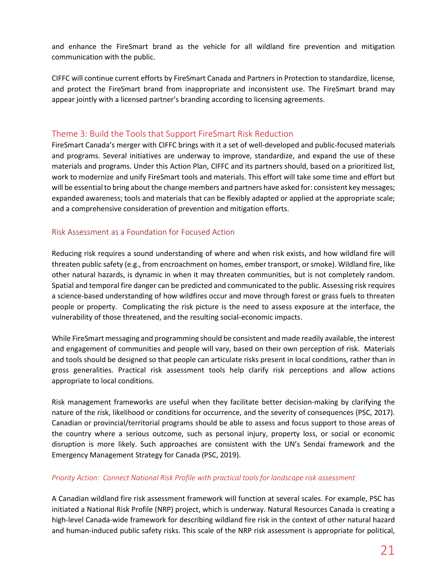and enhance the FireSmart brand as the vehicle for all wildland fire prevention and mitigation communication with the public.

CIFFC will continue current efforts by FireSmart Canada and Partners in Protection to standardize, license, and protect the FireSmart brand from inappropriate and inconsistent use. The FireSmart brand may appear jointly with a licensed partner's branding according to licensing agreements.

## <span id="page-21-0"></span>Theme 3: Build the Tools that Support FireSmart Risk Reduction

FireSmart Canada's merger with CIFFC brings with it a set of well-developed and public-focused materials and programs. Several initiatives are underway to improve, standardize, and expand the use of these materials and programs. Under this Action Plan, CIFFC and its partners should, based on a prioritized list, work to modernize and unify FireSmart tools and materials. This effort will take some time and effort but will be essential to bring about the change members and partners have asked for: consistent key messages; expanded awareness; tools and materials that can be flexibly adapted or applied at the appropriate scale; and a comprehensive consideration of prevention and mitigation efforts.

## <span id="page-21-1"></span>Risk Assessment as a Foundation for Focused Action

Reducing risk requires a sound understanding of where and when risk exists, and how wildland fire will threaten public safety (e.g., from encroachment on homes, ember transport, or smoke). Wildland fire, like other natural hazards, is dynamic in when it may threaten communities, but is not completely random. Spatial and temporal fire danger can be predicted and communicated to the public. Assessing risk requires a science-based understanding of how wildfires occur and move through forest or grass fuels to threaten people or property. Complicating the risk picture is the need to assess exposure at the interface, the vulnerability of those threatened, and the resulting social-economic impacts.

While FireSmart messaging and programming should be consistent and made readily available, the interest and engagement of communities and people will vary, based on their own perception of risk. Materials and tools should be designed so that people can articulate risks present in local conditions, rather than in gross generalities. Practical risk assessment tools help clarify risk perceptions and allow actions appropriate to local conditions.

Risk management frameworks are useful when they facilitate better decision-making by clarifying the nature of the risk, likelihood or conditions for occurrence, and the severity of consequences (PSC, 2017). Canadian or provincial/territorial programs should be able to assess and focus support to those areas of the country where a serious outcome, such as personal injury, property loss, or social or economic disruption is more likely. Such approaches are consistent with the UN's Sendai framework and the Emergency Management Strategy for Canada (PSC, 2019).

#### *Priority Action: Connect National Risk Profile with practical tools for landscape risk assessment*

A Canadian wildland fire risk assessment framework will function at several scales. For example, PSC has initiated a National Risk Profile (NRP) project, which is underway. Natural Resources Canada is creating a high-level Canada-wide framework for describing wildland fire risk in the context of other natural hazard and human-induced public safety risks. This scale of the NRP risk assessment is appropriate for political,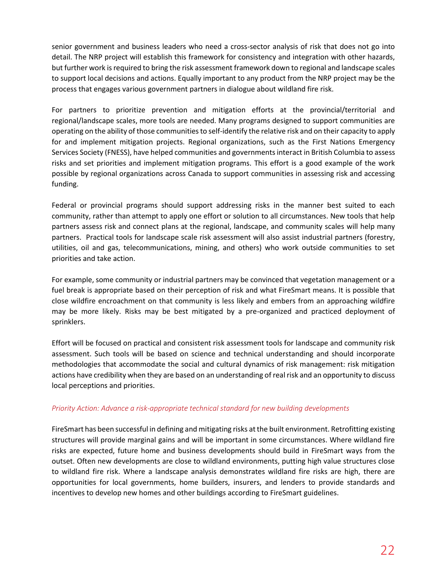senior government and business leaders who need a cross-sector analysis of risk that does not go into detail. The NRP project will establish this framework for consistency and integration with other hazards, but further work is required to bring the risk assessment framework down to regional and landscape scales to support local decisions and actions. Equally important to any product from the NRP project may be the process that engages various government partners in dialogue about wildland fire risk.

For partners to prioritize prevention and mitigation efforts at the provincial/territorial and regional/landscape scales, more tools are needed. Many programs designed to support communities are operating on the ability of those communities to self-identify the relative risk and on their capacity to apply for and implement mitigation projects. Regional organizations, such as the First Nations Emergency Services Society (FNESS), have helped communities and governments interact in British Columbia to assess risks and set priorities and implement mitigation programs. This effort is a good example of the work possible by regional organizations across Canada to support communities in assessing risk and accessing funding.

Federal or provincial programs should support addressing risks in the manner best suited to each community, rather than attempt to apply one effort or solution to all circumstances. New tools that help partners assess risk and connect plans at the regional, landscape, and community scales will help many partners. Practical tools for landscape scale risk assessment will also assist industrial partners (forestry, utilities, oil and gas, telecommunications, mining, and others) who work outside communities to set priorities and take action.

For example, some community or industrial partners may be convinced that vegetation management or a fuel break is appropriate based on their perception of risk and what FireSmart means. It is possible that close wildfire encroachment on that community is less likely and embers from an approaching wildfire may be more likely. Risks may be best mitigated by a pre-organized and practiced deployment of sprinklers.

Effort will be focused on practical and consistent risk assessment tools for landscape and community risk assessment. Such tools will be based on science and technical understanding and should incorporate methodologies that accommodate the social and cultural dynamics of risk management: risk mitigation actions have credibility when they are based on an understanding of real risk and an opportunity to discuss local perceptions and priorities.

#### *Priority Action: Advance a risk-appropriate technical standard for new building developments*

FireSmart has been successful in defining and mitigating risks at the built environment. Retrofitting existing structures will provide marginal gains and will be important in some circumstances. Where wildland fire risks are expected, future home and business developments should build in FireSmart ways from the outset. Often new developments are close to wildland environments, putting high value structures close to wildland fire risk. Where a landscape analysis demonstrates wildland fire risks are high, there are opportunities for local governments, home builders, insurers, and lenders to provide standards and incentives to develop new homes and other buildings according to FireSmart guidelines.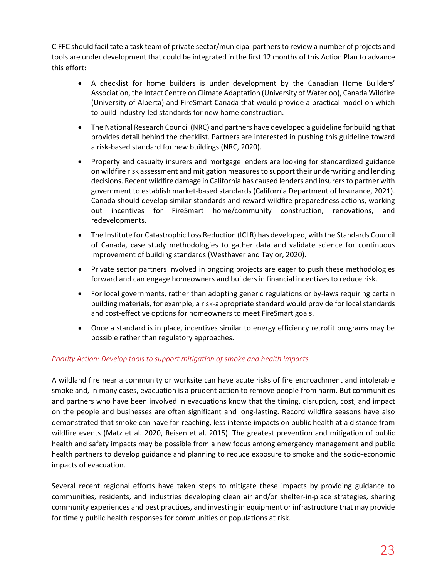CIFFC should facilitate a task team of private sector/municipal partners to review a number of projects and tools are under development that could be integrated in the first 12 months of this Action Plan to advance this effort:

- A checklist for home builders is under development by the Canadian Home Builders' Association, the Intact Centre on Climate Adaptation (University of Waterloo), Canada Wildfire (University of Alberta) and FireSmart Canada that would provide a practical model on which to build industry-led standards for new home construction.
- The National Research Council (NRC) and partners have developed a guideline for building that provides detail behind the checklist. Partners are interested in pushing this guideline toward a risk-based standard for new buildings (NRC, 2020).
- Property and casualty insurers and mortgage lenders are looking for standardized guidance on wildfire risk assessment and mitigation measures to support their underwriting and lending decisions. Recent wildfire damage in California has caused lenders and insurers to partner with government to establish market-based standards (California Department of Insurance, 2021). Canada should develop similar standards and reward wildfire preparedness actions, working out incentives for FireSmart home/community construction, renovations, and redevelopments.
- The Institute for Catastrophic Loss Reduction (ICLR) has developed, with the Standards Council of Canada, case study methodologies to gather data and validate science for continuous improvement of building standards (Westhaver and Taylor, 2020).
- Private sector partners involved in ongoing projects are eager to push these methodologies forward and can engage homeowners and builders in financial incentives to reduce risk.
- For local governments, rather than adopting generic regulations or by-laws requiring certain building materials, for example, a risk-appropriate standard would provide for local standards and cost-effective options for homeowners to meet FireSmart goals.
- Once a standard is in place, incentives similar to energy efficiency retrofit programs may be possible rather than regulatory approaches.

#### *Priority Action: Develop tools to support mitigation of smoke and health impacts*

A wildland fire near a community or worksite can have acute risks of fire encroachment and intolerable smoke and, in many cases, evacuation is a prudent action to remove people from harm. But communities and partners who have been involved in evacuations know that the timing, disruption, cost, and impact on the people and businesses are often significant and long-lasting. Record wildfire seasons have also demonstrated that smoke can have far-reaching, less intense impacts on public health at a distance from wildfire events (Matz et al. 2020, Reisen et al. 2015). The greatest prevention and mitigation of public health and safety impacts may be possible from a new focus among emergency management and public health partners to develop guidance and planning to reduce exposure to smoke and the socio-economic impacts of evacuation.

Several recent regional efforts have taken steps to mitigate these impacts by providing guidance to communities, residents, and industries developing clean air and/or shelter-in-place strategies, sharing community experiences and best practices, and investing in equipment or infrastructure that may provide for timely public health responses for communities or populations at risk.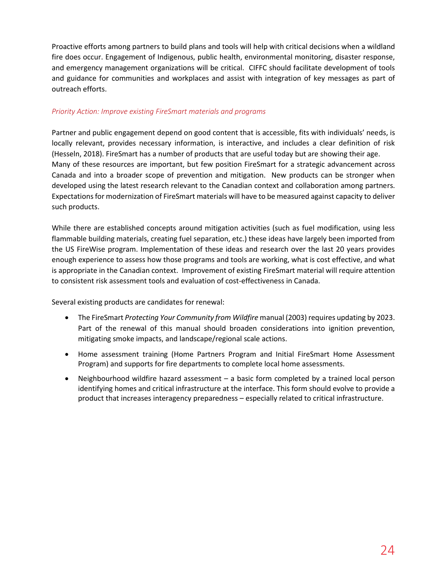Proactive efforts among partners to build plans and tools will help with critical decisions when a wildland fire does occur. Engagement of Indigenous, public health, environmental monitoring, disaster response, and emergency management organizations will be critical. CIFFC should facilitate development of tools and guidance for communities and workplaces and assist with integration of key messages as part of outreach efforts.

#### *Priority Action: Improve existing FireSmart materials and programs*

Partner and public engagement depend on good content that is accessible, fits with individuals' needs, is locally relevant, provides necessary information, is interactive, and includes a clear definition of risk (Hesseln, 2018). FireSmart has a number of products that are useful today but are showing their age. Many of these resources are important, but few position FireSmart for a strategic advancement across Canada and into a broader scope of prevention and mitigation. New products can be stronger when developed using the latest research relevant to the Canadian context and collaboration among partners. Expectations for modernization of FireSmart materials will have to be measured against capacity to deliver such products.

While there are established concepts around mitigation activities (such as fuel modification, using less flammable building materials, creating fuel separation, etc.) these ideas have largely been imported from the US FireWise program. Implementation of these ideas and research over the last 20 years provides enough experience to assess how those programs and tools are working, what is cost effective, and what is appropriate in the Canadian context. Improvement of existing FireSmart material will require attention to consistent risk assessment tools and evaluation of cost-effectiveness in Canada.

Several existing products are candidates for renewal:

- The FireSmart *Protecting Your Community from Wildfire* manual (2003) requires updating by 2023. Part of the renewal of this manual should broaden considerations into ignition prevention, mitigating smoke impacts, and landscape/regional scale actions.
- Home assessment training (Home Partners Program and Initial FireSmart Home Assessment Program) and supports for fire departments to complete local home assessments.
- Neighbourhood wildfire hazard assessment a basic form completed by a trained local person identifying homes and critical infrastructure at the interface. This form should evolve to provide a product that increases interagency preparedness – especially related to critical infrastructure.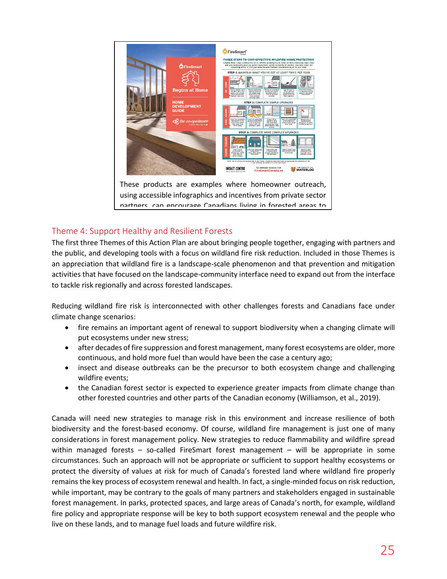

using accessible infographics and incentives from private sector partners, can encourage Canadians living in forested areas to

# <span id="page-25-0"></span>Theme 4: Support Healthy and Resilient Forests

The first three Themes of this Action Plan are about bringing people together, engaging with partners and the public, and developing tools with a focus on wildland fire risk reduction. Included in those Themes is an appreciation that wildland fire is a landscape-scale phenomenon and that prevention and mitigation activities that have focused on the landscape-community interface need to expand out from the interface to tackle risk regionally and across forested landscapes.

Reducing wildland fire risk is interconnected with other challenges forests and Canadians face under climate change scenarios:

- fire remains an important agent of renewal to support biodiversity when a changing climate will put ecosystems under new stress;
- after decades of fire suppression and forest management, many forest ecosystems are older, more continuous, and hold more fuel than would have been the case a century ago;
- insect and disease outbreaks can be the precursor to both ecosystem change and challenging wildfire events;
- the Canadian forest sector is expected to experience greater impacts from climate change than other forested countries and other parts of the Canadian economy (Williamson, et al., 2019).

Canada will need new strategies to manage risk in this environment and increase resilience of both biodiversity and the forest-based economy. Of course, wildland fire management is just one of many considerations in forest management policy. New strategies to reduce flammability and wildfire spread within managed forests – so-called FireSmart forest management – will be appropriate in some circumstances. Such an approach will not be appropriate or sufficient to support healthy ecosystems or protect the diversity of values at risk for much of Canada's forested land where wildland fire properly remains the key process of ecosystem renewal and health. In fact, a single-minded focus on risk reduction, while important, may be contrary to the goals of many partners and stakeholders engaged in sustainable forest management. In parks, protected spaces, and large areas of Canada's north, for example, wildland fire policy and appropriate response will be key to both support ecosystem renewal and the people who live on these lands, and to manage fuel loads and future wildfire risk.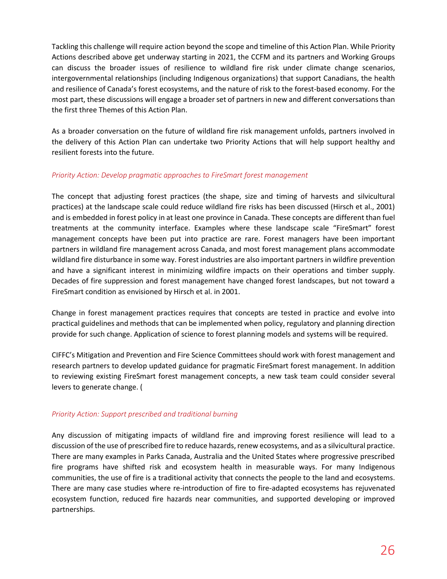Tackling this challenge will require action beyond the scope and timeline of this Action Plan. While Priority Actions described above get underway starting in 2021, the CCFM and its partners and Working Groups can discuss the broader issues of resilience to wildland fire risk under climate change scenarios, intergovernmental relationships (including Indigenous organizations) that support Canadians, the health and resilience of Canada's forest ecosystems, and the nature of risk to the forest-based economy. For the most part, these discussions will engage a broader set of partners in new and different conversations than the first three Themes of this Action Plan.

As a broader conversation on the future of wildland fire risk management unfolds, partners involved in the delivery of this Action Plan can undertake two Priority Actions that will help support healthy and resilient forests into the future.

#### *Priority Action: Develop pragmatic approaches to FireSmart forest management*

The concept that adjusting forest practices (the shape, size and timing of harvests and silvicultural practices) at the landscape scale could reduce wildland fire risks has been discussed (Hirsch et al., 2001) and is embedded in forest policy in at least one province in Canada. These concepts are different than fuel treatments at the community interface. Examples where these landscape scale "FireSmart" forest management concepts have been put into practice are rare. Forest managers have been important partners in wildland fire management across Canada, and most forest management plans accommodate wildland fire disturbance in some way. Forest industries are also important partners in wildfire prevention and have a significant interest in minimizing wildfire impacts on their operations and timber supply. Decades of fire suppression and forest management have changed forest landscapes, but not toward a FireSmart condition as envisioned by Hirsch et al. in 2001.

Change in forest management practices requires that concepts are tested in practice and evolve into practical guidelines and methods that can be implemented when policy, regulatory and planning direction provide for such change. Application of science to forest planning models and systems will be required.

CIFFC's Mitigation and Prevention and Fire Science Committees should work with forest management and research partners to develop updated guidance for pragmatic FireSmart forest management. In addition to reviewing existing FireSmart forest management concepts, a new task team could consider several levers to generate change. (

#### *Priority Action: Support prescribed and traditional burning*

Any discussion of mitigating impacts of wildland fire and improving forest resilience will lead to a discussion of the use of prescribed fire to reduce hazards, renew ecosystems, and as a silvicultural practice. There are many examples in Parks Canada, Australia and the United States where progressive prescribed fire programs have shifted risk and ecosystem health in measurable ways. For many Indigenous communities, the use of fire is a traditional activity that connects the people to the land and ecosystems. There are many case studies where re-introduction of fire to fire-adapted ecosystems has rejuvenated ecosystem function, reduced fire hazards near communities, and supported developing or improved partnerships.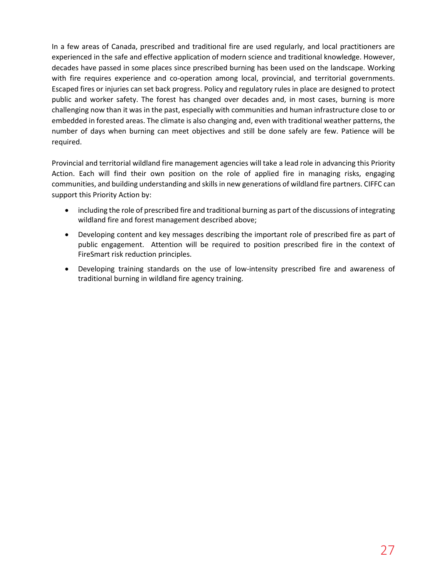In a few areas of Canada, prescribed and traditional fire are used regularly, and local practitioners are experienced in the safe and effective application of modern science and traditional knowledge. However, decades have passed in some places since prescribed burning has been used on the landscape. Working with fire requires experience and co-operation among local, provincial, and territorial governments. Escaped fires or injuries can set back progress. Policy and regulatory rules in place are designed to protect public and worker safety. The forest has changed over decades and, in most cases, burning is more challenging now than it was in the past, especially with communities and human infrastructure close to or embedded in forested areas. The climate is also changing and, even with traditional weather patterns, the number of days when burning can meet objectives and still be done safely are few. Patience will be required.

Provincial and territorial wildland fire management agencies will take a lead role in advancing this Priority Action. Each will find their own position on the role of applied fire in managing risks, engaging communities, and building understanding and skills in new generations of wildland fire partners. CIFFC can support this Priority Action by:

- including the role of prescribed fire and traditional burning as part of the discussions of integrating wildland fire and forest management described above;
- Developing content and key messages describing the important role of prescribed fire as part of public engagement. Attention will be required to position prescribed fire in the context of FireSmart risk reduction principles.
- Developing training standards on the use of low-intensity prescribed fire and awareness of traditional burning in wildland fire agency training.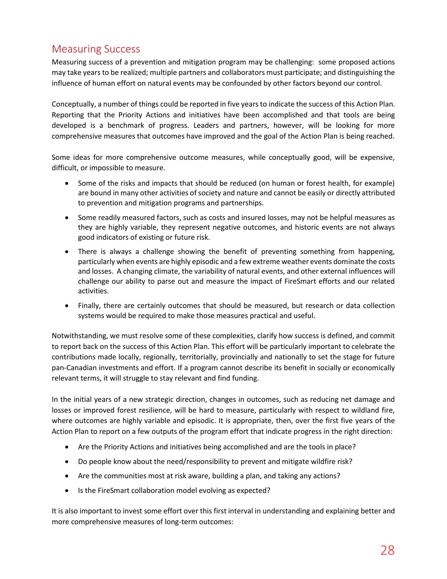# <span id="page-28-0"></span>Measuring Success

Measuring success of a prevention and mitigation program may be challenging: some proposed actions may take years to be realized; multiple partners and collaborators must participate; and distinguishing the influence of human effort on natural events may be confounded by other factors beyond our control.

Conceptually, a number of things could be reported in five years to indicate the success of this Action Plan. Reporting that the Priority Actions and initiatives have been accomplished and that tools are being developed is a benchmark of progress. Leaders and partners, however, will be looking for more comprehensive measures that outcomes have improved and the goal of the Action Plan is being reached.

Some ideas for more comprehensive outcome measures, while conceptually good, will be expensive, difficult, or impossible to measure.

- Some of the risks and impacts that should be reduced (on human or forest health, for example) are bound in many other activities of society and nature and cannot be easily or directly attributed to prevention and mitigation programs and partnerships.
- Some readily measured factors, such as costs and insured losses, may not be helpful measures as they are highly variable, they represent negative outcomes, and historic events are not always good indicators of existing or future risk.
- There is always a challenge showing the benefit of preventing something from happening, particularly when events are highly episodic and a few extreme weather events dominate the costs and losses. A changing climate, the variability of natural events, and other external influences will challenge our ability to parse out and measure the impact of FireSmart efforts and our related activities.
- Finally, there are certainly outcomes that should be measured, but research or data collection systems would be required to make those measures practical and useful.

Notwithstanding, we must resolve some of these complexities, clarify how success is defined, and commit to report back on the success of this Action Plan. This effort will be particularly important to celebrate the contributions made locally, regionally, territorially, provincially and nationally to set the stage for future pan-Canadian investments and effort. If a program cannot describe its benefit in socially or economically relevant terms, it will struggle to stay relevant and find funding.

In the initial years of a new strategic direction, changes in outcomes, such as reducing net damage and losses or improved forest resilience, will be hard to measure, particularly with respect to wildland fire, where outcomes are highly variable and episodic. It is appropriate, then, over the first five years of the Action Plan to report on a few outputs of the program effort that indicate progress in the right direction:

- Are the Priority Actions and initiatives being accomplished and are the tools in place?
- Do people know about the need/responsibility to prevent and mitigate wildfire risk?
- Are the communities most at risk aware, building a plan, and taking any actions?
- Is the FireSmart collaboration model evolving as expected?

It is also important to invest some effort over this first interval in understanding and explaining better and more comprehensive measures of long-term outcomes: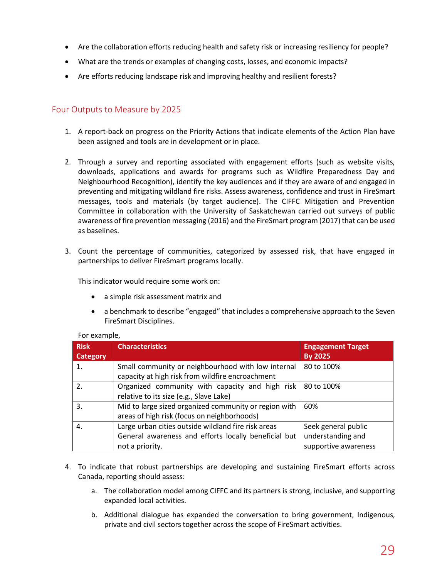- Are the collaboration efforts reducing health and safety risk or increasing resiliency for people?
- What are the trends or examples of changing costs, losses, and economic impacts?
- Are efforts reducing landscape risk and improving healthy and resilient forests?

## <span id="page-29-0"></span>Four Outputs to Measure by 2025

- 1. A report-back on progress on the Priority Actions that indicate elements of the Action Plan have been assigned and tools are in development or in place.
- 2. Through a survey and reporting associated with engagement efforts (such as website visits, downloads, applications and awards for programs such as Wildfire Preparedness Day and Neighbourhood Recognition), identify the key audiences and if they are aware of and engaged in preventing and mitigating wildland fire risks. Assess awareness, confidence and trust in FireSmart messages, tools and materials (by target audience). The CIFFC Mitigation and Prevention Committee in collaboration with the University of Saskatchewan carried out surveys of public awareness of fire prevention messaging (2016) and the FireSmart program (2017) that can be used as baselines.
- 3. Count the percentage of communities, categorized by assessed risk, that have engaged in partnerships to deliver FireSmart programs locally.

This indicator would require some work on:

- a simple risk assessment matrix and
- a benchmark to describe "engaged" that includes a comprehensive approach to the Seven FireSmart Disciplines.

| <b>Risk</b><br><b>Category</b> | <b>Characteristics</b>                                                                                                         | <b>Engagement Target</b><br><b>By 2025</b>                       |
|--------------------------------|--------------------------------------------------------------------------------------------------------------------------------|------------------------------------------------------------------|
| 1.                             | Small community or neighbourhood with low internal<br>capacity at high risk from wildfire encroachment                         | 80 to 100%                                                       |
| $\overline{2}$ .               | Organized community with capacity and high risk<br>relative to its size (e.g., Slave Lake)                                     | 80 to 100%                                                       |
| 3.                             | Mid to large sized organized community or region with<br>areas of high risk (focus on neighborhoods)                           | 60%                                                              |
| 4.                             | Large urban cities outside wildland fire risk areas<br>General awareness and efforts locally beneficial but<br>not a priority. | Seek general public<br>understanding and<br>supportive awareness |

#### For example,

- 4. To indicate that robust partnerships are developing and sustaining FireSmart efforts across Canada, reporting should assess:
	- a. The collaboration model among CIFFC and its partners is strong, inclusive, and supporting expanded local activities.
	- b. Additional dialogue has expanded the conversation to bring government, Indigenous, private and civil sectors together across the scope of FireSmart activities.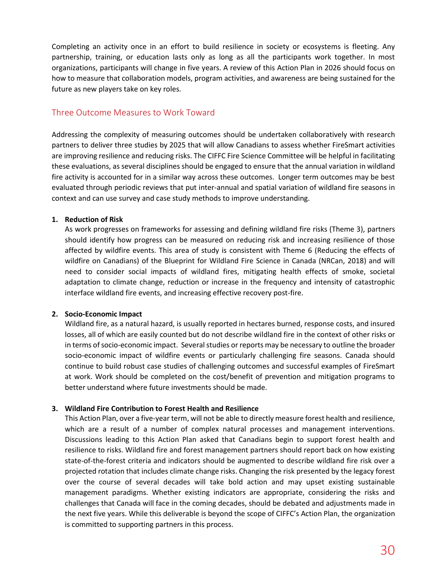Completing an activity once in an effort to build resilience in society or ecosystems is fleeting. Any partnership, training, or education lasts only as long as all the participants work together. In most organizations, participants will change in five years. A review of this Action Plan in 2026 should focus on how to measure that collaboration models, program activities, and awareness are being sustained for the future as new players take on key roles.

## <span id="page-30-0"></span>Three Outcome Measures to Work Toward

Addressing the complexity of measuring outcomes should be undertaken collaboratively with research partners to deliver three studies by 2025 that will allow Canadians to assess whether FireSmart activities are improving resilience and reducing risks. The CIFFC Fire Science Committee will be helpful in facilitating these evaluations, as several disciplines should be engaged to ensure that the annual variation in wildland fire activity is accounted for in a similar way across these outcomes. Longer term outcomes may be best evaluated through periodic reviews that put inter-annual and spatial variation of wildland fire seasons in context and can use survey and case study methods to improve understanding.

#### **1. Reduction of Risk**

As work progresses on frameworks for assessing and defining wildland fire risks (Theme 3), partners should identify how progress can be measured on reducing risk and increasing resilience of those affected by wildfire events. This area of study is consistent with Theme 6 (Reducing the effects of wildfire on Canadians) of the Blueprint for Wildland Fire Science in Canada (NRCan, 2018) and will need to consider social impacts of wildland fires, mitigating health effects of smoke, societal adaptation to climate change, reduction or increase in the frequency and intensity of catastrophic interface wildland fire events, and increasing effective recovery post-fire.

#### **2. Socio-Economic Impact**

Wildland fire, as a natural hazard, is usually reported in hectares burned, response costs, and insured losses, all of which are easily counted but do not describe wildland fire in the context of other risks or in terms of socio-economic impact. Several studies or reports may be necessary to outline the broader socio-economic impact of wildfire events or particularly challenging fire seasons. Canada should continue to build robust case studies of challenging outcomes and successful examples of FireSmart at work. Work should be completed on the cost/benefit of prevention and mitigation programs to better understand where future investments should be made.

#### **3. Wildland Fire Contribution to Forest Health and Resilience**

This Action Plan, over a five-year term, will not be able to directly measure forest health and resilience, which are a result of a number of complex natural processes and management interventions. Discussions leading to this Action Plan asked that Canadians begin to support forest health and resilience to risks. Wildland fire and forest management partners should report back on how existing state-of-the-forest criteria and indicators should be augmented to describe wildland fire risk over a projected rotation that includes climate change risks. Changing the risk presented by the legacy forest over the course of several decades will take bold action and may upset existing sustainable management paradigms. Whether existing indicators are appropriate, considering the risks and challenges that Canada will face in the coming decades, should be debated and adjustments made in the next five years. While this deliverable is beyond the scope of CIFFC's Action Plan, the organization is committed to supporting partners in this process.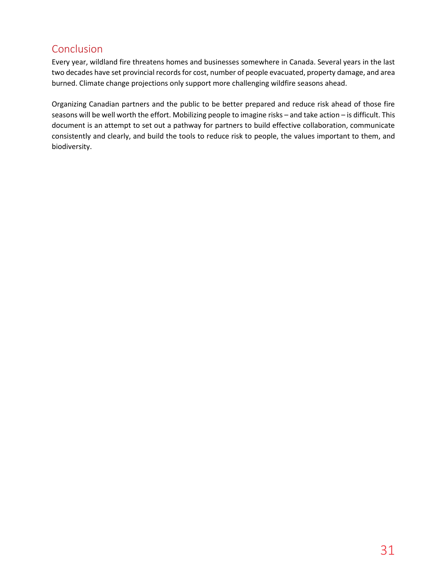# <span id="page-31-0"></span>Conclusion

Every year, wildland fire threatens homes and businesses somewhere in Canada. Several years in the last two decades have set provincial records for cost, number of people evacuated, property damage, and area burned. Climate change projections only support more challenging wildfire seasons ahead.

Organizing Canadian partners and the public to be better prepared and reduce risk ahead of those fire seasons will be well worth the effort. Mobilizing people to imagine risks – and take action – is difficult. This document is an attempt to set out a pathway for partners to build effective collaboration, communicate consistently and clearly, and build the tools to reduce risk to people, the values important to them, and biodiversity.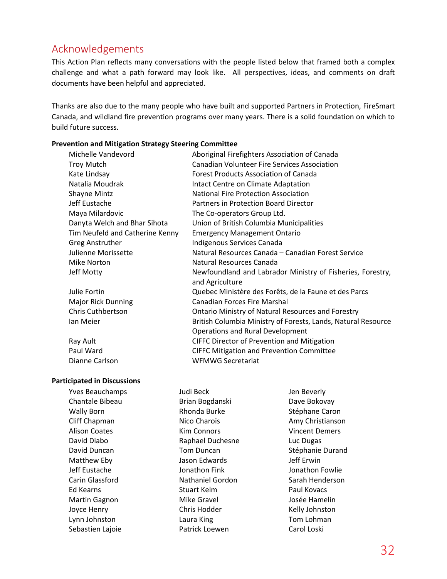# <span id="page-32-0"></span>Acknowledgements

This Action Plan reflects many conversations with the people listed below that framed both a complex challenge and what a path forward may look like. All perspectives, ideas, and comments on draft documents have been helpful and appreciated.

Thanks are also due to the many people who have built and supported Partners in Protection, FireSmart Canada, and wildland fire prevention programs over many years. There is a solid foundation on which to build future success.

#### **Prevention and Mitigation Strategy Steering Committee**

| <b>Canadian Volunteer Fire Services Association</b><br><b>Troy Mutch</b><br>Kate Lindsay<br><b>Forest Products Association of Canada</b><br>Natalia Moudrak<br>Intact Centre on Climate Adaptation<br><b>National Fire Protection Association</b><br><b>Shayne Mintz</b><br>Jeff Eustache<br>Partners in Protection Board Director<br>Maya Milardovic<br>The Co-operators Group Ltd.<br>Danyta Welch and Bhar Sihota<br>Union of British Columbia Municipalities<br>Tim Neufeld and Catherine Kenny<br><b>Emergency Management Ontario</b><br>Indigenous Services Canada<br><b>Greg Anstruther</b><br>Natural Resources Canada - Canadian Forest Service<br>Julienne Morissette<br>Mike Norton<br>Natural Resources Canada<br>Jeff Motty<br>Newfoundland and Labrador Ministry of Fisheries, Forestry,<br>and Agriculture<br>Julie Fortin<br>Quebec Ministère des Forêts, de la Faune et des Parcs<br><b>Canadian Forces Fire Marshal</b><br><b>Major Rick Dunning</b><br><b>Chris Cuthbertson</b><br><b>Ontario Ministry of Natural Resources and Forestry</b><br>British Columbia Ministry of Forests, Lands, Natural Resource<br>Ian Meier<br><b>Operations and Rural Development</b><br>Ray Ault<br><b>CIFFC Director of Prevention and Mitigation</b><br>Paul Ward<br><b>CIFFC Mitigation and Prevention Committee</b><br><b>WFMWG Secretariat</b><br>Dianne Carlson | Michelle Vandevord | Aboriginal Firefighters Association of Canada |  |
|---------------------------------------------------------------------------------------------------------------------------------------------------------------------------------------------------------------------------------------------------------------------------------------------------------------------------------------------------------------------------------------------------------------------------------------------------------------------------------------------------------------------------------------------------------------------------------------------------------------------------------------------------------------------------------------------------------------------------------------------------------------------------------------------------------------------------------------------------------------------------------------------------------------------------------------------------------------------------------------------------------------------------------------------------------------------------------------------------------------------------------------------------------------------------------------------------------------------------------------------------------------------------------------------------------------------------------------------------------------------------|--------------------|-----------------------------------------------|--|
|                                                                                                                                                                                                                                                                                                                                                                                                                                                                                                                                                                                                                                                                                                                                                                                                                                                                                                                                                                                                                                                                                                                                                                                                                                                                                                                                                                           |                    |                                               |  |
|                                                                                                                                                                                                                                                                                                                                                                                                                                                                                                                                                                                                                                                                                                                                                                                                                                                                                                                                                                                                                                                                                                                                                                                                                                                                                                                                                                           |                    |                                               |  |
|                                                                                                                                                                                                                                                                                                                                                                                                                                                                                                                                                                                                                                                                                                                                                                                                                                                                                                                                                                                                                                                                                                                                                                                                                                                                                                                                                                           |                    |                                               |  |
|                                                                                                                                                                                                                                                                                                                                                                                                                                                                                                                                                                                                                                                                                                                                                                                                                                                                                                                                                                                                                                                                                                                                                                                                                                                                                                                                                                           |                    |                                               |  |
|                                                                                                                                                                                                                                                                                                                                                                                                                                                                                                                                                                                                                                                                                                                                                                                                                                                                                                                                                                                                                                                                                                                                                                                                                                                                                                                                                                           |                    |                                               |  |
|                                                                                                                                                                                                                                                                                                                                                                                                                                                                                                                                                                                                                                                                                                                                                                                                                                                                                                                                                                                                                                                                                                                                                                                                                                                                                                                                                                           |                    |                                               |  |
|                                                                                                                                                                                                                                                                                                                                                                                                                                                                                                                                                                                                                                                                                                                                                                                                                                                                                                                                                                                                                                                                                                                                                                                                                                                                                                                                                                           |                    |                                               |  |
|                                                                                                                                                                                                                                                                                                                                                                                                                                                                                                                                                                                                                                                                                                                                                                                                                                                                                                                                                                                                                                                                                                                                                                                                                                                                                                                                                                           |                    |                                               |  |
|                                                                                                                                                                                                                                                                                                                                                                                                                                                                                                                                                                                                                                                                                                                                                                                                                                                                                                                                                                                                                                                                                                                                                                                                                                                                                                                                                                           |                    |                                               |  |
|                                                                                                                                                                                                                                                                                                                                                                                                                                                                                                                                                                                                                                                                                                                                                                                                                                                                                                                                                                                                                                                                                                                                                                                                                                                                                                                                                                           |                    |                                               |  |
|                                                                                                                                                                                                                                                                                                                                                                                                                                                                                                                                                                                                                                                                                                                                                                                                                                                                                                                                                                                                                                                                                                                                                                                                                                                                                                                                                                           |                    |                                               |  |
|                                                                                                                                                                                                                                                                                                                                                                                                                                                                                                                                                                                                                                                                                                                                                                                                                                                                                                                                                                                                                                                                                                                                                                                                                                                                                                                                                                           |                    |                                               |  |
|                                                                                                                                                                                                                                                                                                                                                                                                                                                                                                                                                                                                                                                                                                                                                                                                                                                                                                                                                                                                                                                                                                                                                                                                                                                                                                                                                                           |                    |                                               |  |
|                                                                                                                                                                                                                                                                                                                                                                                                                                                                                                                                                                                                                                                                                                                                                                                                                                                                                                                                                                                                                                                                                                                                                                                                                                                                                                                                                                           |                    |                                               |  |
|                                                                                                                                                                                                                                                                                                                                                                                                                                                                                                                                                                                                                                                                                                                                                                                                                                                                                                                                                                                                                                                                                                                                                                                                                                                                                                                                                                           |                    |                                               |  |
|                                                                                                                                                                                                                                                                                                                                                                                                                                                                                                                                                                                                                                                                                                                                                                                                                                                                                                                                                                                                                                                                                                                                                                                                                                                                                                                                                                           |                    |                                               |  |
|                                                                                                                                                                                                                                                                                                                                                                                                                                                                                                                                                                                                                                                                                                                                                                                                                                                                                                                                                                                                                                                                                                                                                                                                                                                                                                                                                                           |                    |                                               |  |
|                                                                                                                                                                                                                                                                                                                                                                                                                                                                                                                                                                                                                                                                                                                                                                                                                                                                                                                                                                                                                                                                                                                                                                                                                                                                                                                                                                           |                    |                                               |  |
|                                                                                                                                                                                                                                                                                                                                                                                                                                                                                                                                                                                                                                                                                                                                                                                                                                                                                                                                                                                                                                                                                                                                                                                                                                                                                                                                                                           |                    |                                               |  |
|                                                                                                                                                                                                                                                                                                                                                                                                                                                                                                                                                                                                                                                                                                                                                                                                                                                                                                                                                                                                                                                                                                                                                                                                                                                                                                                                                                           |                    |                                               |  |
|                                                                                                                                                                                                                                                                                                                                                                                                                                                                                                                                                                                                                                                                                                                                                                                                                                                                                                                                                                                                                                                                                                                                                                                                                                                                                                                                                                           |                    |                                               |  |

#### **Participated in Discussions**

| <b>Yves Beauchamps</b> | Judi Beck               | Jen Beverly           |
|------------------------|-------------------------|-----------------------|
| Chantale Bibeau        | Brian Bogdanski         | Dave Bokovay          |
| <b>Wally Born</b>      | Rhonda Burke            | Stéphane Caron        |
| Cliff Chapman          | Nico Charois            | Amy Christianson      |
| <b>Alison Coates</b>   | <b>Kim Connors</b>      | <b>Vincent Demers</b> |
| David Diabo            | Raphael Duchesne        | Luc Dugas             |
| David Duncan           | <b>Tom Duncan</b>       | Stéphanie Durand      |
| Matthew Eby            | Jason Edwards           | Jeff Erwin            |
| Jeff Eustache          | Jonathon Fink           | Jonathon Fowlie       |
| Carin Glassford        | <b>Nathaniel Gordon</b> | Sarah Henderson       |
| Ed Kearns              | Stuart Kelm             | Paul Kovacs           |
| Martin Gagnon          | <b>Mike Gravel</b>      | Josée Hamelin         |
| Joyce Henry            | Chris Hodder            | Kelly Johnston        |
| Lynn Johnston          | Laura King              | Tom Lohman            |
| Sebastien Lajoie       | Patrick Loewen          | Carol Loski           |
|                        |                         |                       |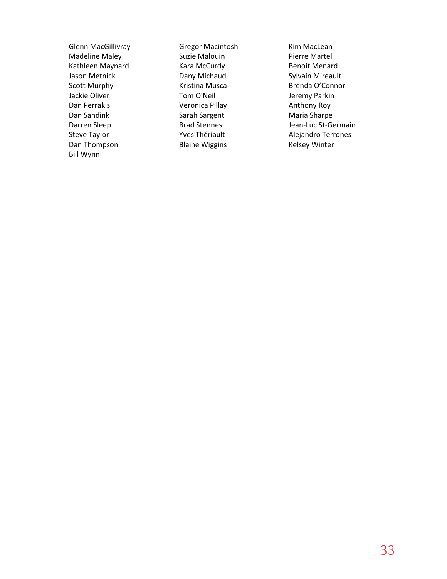Glenn MacGillivray **Gregor Macintosh** Kim MacLean Bill Wynn

Madeline Maley **Suzie Malouin** Pierre Martel Kathleen Maynard Kara McCurdy Benoit Ménard Jason Metnick **Dany Michaud** Sylvain Mireault Scott Murphy **Kristina Musca** Brenda O'Connor Jackie Oliver **Tom O'Neil** Jeremy Parkin Dan Perrakis **Contains Container Containers** Veronica Pillay **Anthony Roy** Dan Sandink **Sarah Sargent** Maria Sharpe Steve Taylor **The Taylor** Yves Thériault **Alejandro Terrones** Dan Thompson **Blaine Wiggins** Kelsey Winter

Darren Sleep Brad Stennes Jean-Luc St-Germain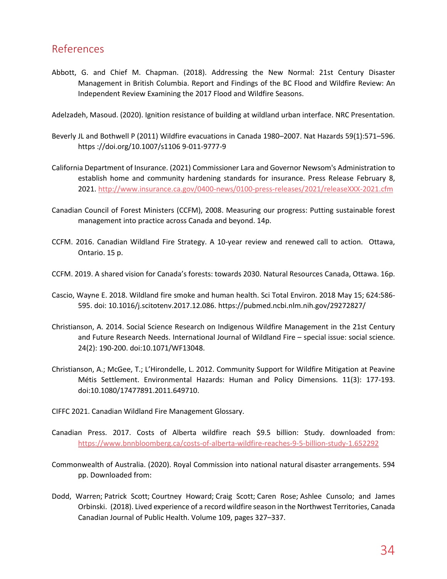# <span id="page-34-0"></span>References

Abbott, G. and Chief M. Chapman. (2018). Addressing the New Normal: 21st Century Disaster Management in British Columbia. Report and Findings of the BC Flood and Wildfire Review: An Independent Review Examining the 2017 Flood and Wildfire Seasons.

Adelzadeh, Masoud. (2020). Ignition resistance of building at wildland urban interface. NRC Presentation.

- Beverly JL and Bothwell P (2011) Wildfire evacuations in Canada 1980–2007. Nat Hazards 59(1):571–596. https ://doi.org/10.1007/s1106 9-011-9777-9
- California Department of Insurance. (2021) Commissioner Lara and Governor Newsom's Administration to establish home and community hardening standards for insurance. Press Release February 8, 2021. <http://www.insurance.ca.gov/0400-news/0100-press-releases/2021/releaseXXX-2021.cfm>
- Canadian Council of Forest Ministers (CCFM), 2008. Measuring our progress: Putting sustainable forest management into practice across Canada and beyond. 14p.
- CCFM. 2016. Canadian Wildland Fire Strategy. A 10-year review and renewed call to action. Ottawa, Ontario. 15 p.
- CCFM. 2019. A shared vision for Canada's forests: towards 2030. Natural Resources Canada, Ottawa. 16p.
- Cascio, Wayne E. 2018. Wildland fire smoke and human health. Sci Total Environ. 2018 May 15; 624:586- 595. doi: 10.1016/j.scitotenv.2017.12.086. <https://pubmed.ncbi.nlm.nih.gov/29272827/>
- Christianson, A. 2014. Social Science Research on Indigenous Wildfire Management in the 21st Century and Future Research Needs. International Journal of Wildland Fire – special issue: social science. 24(2): 190-200. doi:10.1071/WF13048.
- Christianson, A.; McGee, T.; L'Hirondelle, L. 2012. Community Support for Wildfire Mitigation at Peavine Métis Settlement. Environmental Hazards: Human and Policy Dimensions. 11(3): 177-193. doi:10.1080/17477891.2011.649710.
- CIFFC 2021. Canadian Wildland Fire Management Glossary.
- Canadian Press. 2017. Costs of Alberta wildfire reach \$9.5 billion: Study. downloaded from: <https://www.bnnbloomberg.ca/costs-of-alberta-wildfire-reaches-9-5-billion-study-1.652292>
- Commonwealth of Australia. (2020). Royal Commission into national natural disaster arrangements. 594 pp. Downloaded from:
- Dodd, Warren; Patrick Scott; Courtney Howard; Craig Scott; Caren Rose; Ashlee Cunsolo; and James Orbinski. (2018). Lived experience of a record wildfire season in the Northwest Territories, Canada Canadian Journal of Public Health. Volume 109, pages 327–337.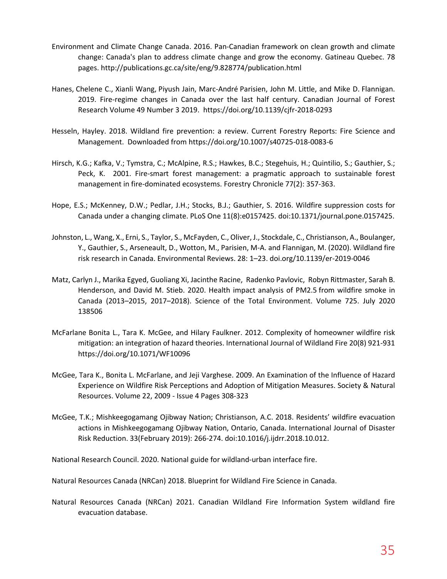- Environment and Climate Change Canada. 2016. Pan-Canadian framework on clean growth and climate change: Canada's plan to address climate change and grow the economy. Gatineau Quebec. 78 pages. http://publications.gc.ca/site/eng/9.828774/publication.html
- Hanes, Chelene C., Xianli Wang, Piyush Jain, Marc-André Parisien, John M. Little, and Mike D. Flannigan. 2019. Fire-regime changes in Canada over the last half century. Canadian Journal of Forest Research Volume 49 Number 3 2019. <https://doi.org/10.1139/cjfr-2018-0293>
- Hesseln, Hayley. 2018. Wildland fire prevention: a review. Current Forestry Reports: Fire Science and Management. Downloaded from https://doi.org/10.1007/s40725-018-0083-6
- Hirsch, K.G.; Kafka, V.; Tymstra, C.; McAlpine, R.S.; Hawkes, B.C.; Stegehuis, H.; Quintilio, S.; Gauthier, S.; Peck, K. 2001. Fire-smart forest management: a pragmatic approach to sustainable forest management in fire-dominated ecosystems. Forestry Chronicle 77(2): 357-363.
- Hope, E.S.; McKenney, D.W.; Pedlar, J.H.; Stocks, B.J.; Gauthier, S. 2016. Wildfire suppression costs for Canada under a changing climate. PLoS One 11(8):e0157425. doi:10.1371/journal.pone.0157425.
- Johnston, L., Wang, X., Erni, S., Taylor, S., McFayden, C.,Oliver, J., Stockdale, C., Christianson, A., Boulanger, Y., Gauthier, S., Arseneault, D., Wotton, M., Parisien, M-A. and Flannigan, M. (2020). Wildland fire risk research in Canada. Environmental Reviews. 28: 1–23. doi.org/10.1139/er-2019-0046
- Matz, Carlyn J., Marika Egyed, Guoliang Xi, Jacinthe [Racine, R](https://www.sciencedirect.com/science/article/pii/S0048969720320192#!)adenko Pavlovic, Robyn Rittmaster, Sarah B. Henderson, and David M. Stieb. 2020. Health impact analysis of PM2.5 from wildfire smoke in Canada (2013–2015, 2017–2018). Science of the Total Environment. Volume 725. July 2020 138506
- McFarlane Bonita L., Tara K. McGee, and Hilary Faulkner. 2012. Complexity of homeowner wildfire risk mitigation: an integration of hazard theories. International Journal of Wildland Fire 20(8) 921-931 <https://doi.org/10.1071/WF10096>
- McGee, Tara K., Bonita L. McFarlane, and Jeji Varghese. 2009. An Examination of the Influence of Hazard Experience on Wildfire Risk Perceptions and Adoption of Mitigation Measures. Society & Natural Resources. Volume 22, 2009 - Issue 4 Pages 308-323
- McGee, T.K.; Mishkeegogamang Ojibway Nation; Christianson, A.C. 2018. Residents' wildfire evacuation actions in Mishkeegogamang Ojibway Nation, Ontario, Canada. International Journal of Disaster Risk Reduction. 33(February 2019): 266-274. doi:10.1016/j.ijdrr.2018.10.012.

National Research Council. 2020. National guide for wildland-urban interface fire.

Natural Resources Canada (NRCan) 2018. Blueprint for Wildland Fire Science in Canada.

Natural Resources Canada (NRCan) 2021. Canadian Wildland Fire Information System wildland fire evacuation database.